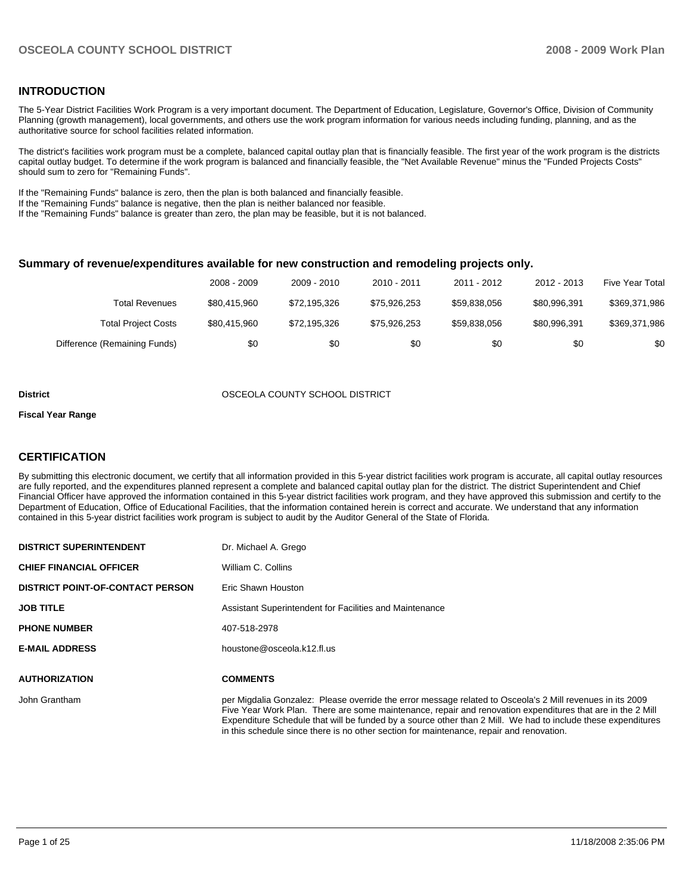#### **INTRODUCTION**

The 5-Year District Facilities Work Program is a very important document. The Department of Education, Legislature, Governor's Office, Division of Community Planning (growth management), local governments, and others use the work program information for various needs including funding, planning, and as the authoritative source for school facilities related information.

The district's facilities work program must be a complete, balanced capital outlay plan that is financially feasible. The first year of the work program is the districts capital outlay budget. To determine if the work program is balanced and financially feasible, the "Net Available Revenue" minus the "Funded Projects Costs" should sum to zero for "Remaining Funds".

If the "Remaining Funds" balance is zero, then the plan is both balanced and financially feasible.

If the "Remaining Funds" balance is negative, then the plan is neither balanced nor feasible.

If the "Remaining Funds" balance is greater than zero, the plan may be feasible, but it is not balanced.

#### **Summary of revenue/expenditures available for new construction and remodeling projects only.**

|                              | 2008 - 2009  | 2009 - 2010  | $2010 - 2011$ | 2011 - 2012  | 2012 - 2013  | <b>Five Year Total</b> |
|------------------------------|--------------|--------------|---------------|--------------|--------------|------------------------|
| <b>Total Revenues</b>        | \$80,415,960 | \$72.195.326 | \$75.926.253  | \$59.838.056 | \$80.996.391 | \$369,371,986          |
| <b>Total Project Costs</b>   | \$80,415,960 | \$72.195.326 | \$75.926.253  | \$59.838.056 | \$80.996.391 | \$369,371,986          |
| Difference (Remaining Funds) | \$0          | \$0          | \$0           | \$0          | \$0          | \$0                    |

#### **District COUNTY SCHOOL DISTRICT**

#### **Fiscal Year Range**

#### **CERTIFICATION**

By submitting this electronic document, we certify that all information provided in this 5-year district facilities work program is accurate, all capital outlay resources are fully reported, and the expenditures planned represent a complete and balanced capital outlay plan for the district. The district Superintendent and Chief Financial Officer have approved the information contained in this 5-year district facilities work program, and they have approved this submission and certify to the Department of Education, Office of Educational Facilities, that the information contained herein is correct and accurate. We understand that any information contained in this 5-year district facilities work program is subject to audit by the Auditor General of the State of Florida.

| <b>DISTRICT SUPERINTENDENT</b>          | Dr. Michael A. Grego                                                                                                                                                                                                                                                                                                                                                                                                                |
|-----------------------------------------|-------------------------------------------------------------------------------------------------------------------------------------------------------------------------------------------------------------------------------------------------------------------------------------------------------------------------------------------------------------------------------------------------------------------------------------|
| <b>CHIEF FINANCIAL OFFICER</b>          | William C. Collins                                                                                                                                                                                                                                                                                                                                                                                                                  |
| <b>DISTRICT POINT-OF-CONTACT PERSON</b> | Eric Shawn Houston                                                                                                                                                                                                                                                                                                                                                                                                                  |
| <b>JOB TITLE</b>                        | Assistant Superintendent for Facilities and Maintenance                                                                                                                                                                                                                                                                                                                                                                             |
| <b>PHONE NUMBER</b>                     | 407-518-2978                                                                                                                                                                                                                                                                                                                                                                                                                        |
| <b>E-MAIL ADDRESS</b>                   | houstone@osceola.k12.fl.us                                                                                                                                                                                                                                                                                                                                                                                                          |
| <b>AUTHORIZATION</b>                    | <b>COMMENTS</b>                                                                                                                                                                                                                                                                                                                                                                                                                     |
| John Grantham                           | per Migdalia Gonzalez: Please override the error message related to Osceola's 2 Mill revenues in its 2009<br>Five Year Work Plan. There are some maintenance, repair and renovation expenditures that are in the 2 Mill<br>Expenditure Schedule that will be funded by a source other than 2 Mill. We had to include these expenditures<br>in this schedule since there is no other section for maintenance, repair and renovation. |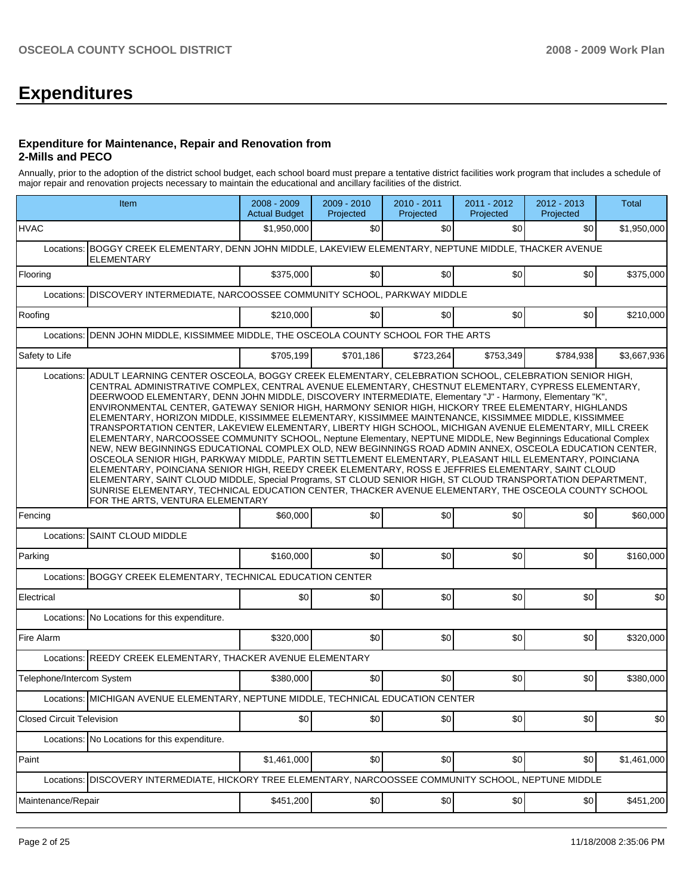# **Expenditures**

#### **Expenditure for Maintenance, Repair and Renovation from 2-Mills and PECO**

Annually, prior to the adoption of the district school budget, each school board must prepare a tentative district facilities work program that includes a schedule of major repair and renovation projects necessary to maintain the educational and ancillary facilities of the district.

| Item                                                                                                                             | 2008 - 2009<br><b>Actual Budget</b>                                                                                                                                                                                                                                                                                                                                                                                                                                                                                                                                                                                                                                                                                                                                                                                                                                                                                                                                                                                                                                                                                                                                                                                                                                                                                                | 2009 - 2010<br>Projected | 2010 - 2011<br>Projected | 2011 - 2012<br>Projected | 2012 - 2013<br>Projected | <b>Total</b> |  |  |  |  |
|----------------------------------------------------------------------------------------------------------------------------------|------------------------------------------------------------------------------------------------------------------------------------------------------------------------------------------------------------------------------------------------------------------------------------------------------------------------------------------------------------------------------------------------------------------------------------------------------------------------------------------------------------------------------------------------------------------------------------------------------------------------------------------------------------------------------------------------------------------------------------------------------------------------------------------------------------------------------------------------------------------------------------------------------------------------------------------------------------------------------------------------------------------------------------------------------------------------------------------------------------------------------------------------------------------------------------------------------------------------------------------------------------------------------------------------------------------------------------|--------------------------|--------------------------|--------------------------|--------------------------|--------------|--|--|--|--|
| <b>HVAC</b>                                                                                                                      | \$1,950,000                                                                                                                                                                                                                                                                                                                                                                                                                                                                                                                                                                                                                                                                                                                                                                                                                                                                                                                                                                                                                                                                                                                                                                                                                                                                                                                        | \$0                      | \$0                      | \$0                      | \$0                      | \$1,950,000  |  |  |  |  |
| BOGGY CREEK ELEMENTARY, DENN JOHN MIDDLE, LAKEVIEW ELEMENTARY, NEPTUNE MIDDLE, THACKER AVENUE<br>Locations:<br><b>ELEMENTARY</b> |                                                                                                                                                                                                                                                                                                                                                                                                                                                                                                                                                                                                                                                                                                                                                                                                                                                                                                                                                                                                                                                                                                                                                                                                                                                                                                                                    |                          |                          |                          |                          |              |  |  |  |  |
| Flooring                                                                                                                         | \$375,000                                                                                                                                                                                                                                                                                                                                                                                                                                                                                                                                                                                                                                                                                                                                                                                                                                                                                                                                                                                                                                                                                                                                                                                                                                                                                                                          | \$0                      | \$0                      | \$0                      | \$0                      | \$375,000    |  |  |  |  |
|                                                                                                                                  | Locations: DISCOVERY INTERMEDIATE, NARCOOSSEE COMMUNITY SCHOOL, PARKWAY MIDDLE                                                                                                                                                                                                                                                                                                                                                                                                                                                                                                                                                                                                                                                                                                                                                                                                                                                                                                                                                                                                                                                                                                                                                                                                                                                     |                          |                          |                          |                          |              |  |  |  |  |
| Roofing                                                                                                                          | \$210,000                                                                                                                                                                                                                                                                                                                                                                                                                                                                                                                                                                                                                                                                                                                                                                                                                                                                                                                                                                                                                                                                                                                                                                                                                                                                                                                          | \$0                      | \$0                      | \$0                      | \$0                      | \$210,000    |  |  |  |  |
| DENN JOHN MIDDLE, KISSIMMEE MIDDLE, THE OSCEOLA COUNTY SCHOOL FOR THE ARTS<br>Locations:                                         |                                                                                                                                                                                                                                                                                                                                                                                                                                                                                                                                                                                                                                                                                                                                                                                                                                                                                                                                                                                                                                                                                                                                                                                                                                                                                                                                    |                          |                          |                          |                          |              |  |  |  |  |
| Safety to Life                                                                                                                   | \$705,199                                                                                                                                                                                                                                                                                                                                                                                                                                                                                                                                                                                                                                                                                                                                                                                                                                                                                                                                                                                                                                                                                                                                                                                                                                                                                                                          | \$701,186                | \$723,264                | \$753,349                | \$784,938                | \$3,667,936  |  |  |  |  |
| FOR THE ARTS, VENTURA ELEMENTARY                                                                                                 | Locations:<br>ADULT LEARNING CENTER OSCEOLA, BOGGY CREEK ELEMENTARY, CELEBRATION SCHOOL, CELEBRATION SENIOR HIGH,<br>CENTRAL ADMINISTRATIVE COMPLEX, CENTRAL AVENUE ELEMENTARY, CHESTNUT ELEMENTARY, CYPRESS ELEMENTARY,<br>DEERWOOD ELEMENTARY, DENN JOHN MIDDLE, DISCOVERY INTERMEDIATE, Elementary "J" - Harmony, Elementary "K",<br>ENVIRONMENTAL CENTER, GATEWAY SENIOR HIGH, HARMONY SENIOR HIGH, HICKORY TREE ELEMENTARY, HIGHLANDS<br>ELEMENTARY, HORIZON MIDDLE, KISSIMMEE ELEMENTARY, KISSIMMEE MAINTENANCE, KISSIMMEE MIDDLE, KISSIMMEE<br>TRANSPORTATION CENTER, LAKEVIEW ELEMENTARY, LIBERTY HIGH SCHOOL, MICHIGAN AVENUE ELEMENTARY, MILL CREEK<br>ELEMENTARY, NARCOOSSEE COMMUNITY SCHOOL, Neptune Elementary, NEPTUNE MIDDLE, New Beginnings Educational Complex<br>NEW, NEW BEGINNINGS EDUCATIONAL COMPLEX OLD, NEW BEGINNINGS ROAD ADMIN ANNEX, OSCEOLA EDUCATION CENTER,<br>OSCEOLA SENIOR HIGH, PARKWAY MIDDLE, PARTIN SETTLEMENT ELEMENTARY, PLEASANT HILL ELEMENTARY, POINCIANA<br>ELEMENTARY, POINCIANA SENIOR HIGH, REEDY CREEK ELEMENTARY, ROSS E JEFFRIES ELEMENTARY, SAINT CLOUD<br>ELEMENTARY, SAINT CLOUD MIDDLE, Special Programs, ST CLOUD SENIOR HIGH, ST CLOUD TRANSPORTATION DEPARTMENT,<br>SUNRISE ELEMENTARY, TECHNICAL EDUCATION CENTER, THACKER AVENUE ELEMENTARY, THE OSCEOLA COUNTY SCHOOL |                          |                          |                          |                          |              |  |  |  |  |
| Fencing                                                                                                                          | \$60,000                                                                                                                                                                                                                                                                                                                                                                                                                                                                                                                                                                                                                                                                                                                                                                                                                                                                                                                                                                                                                                                                                                                                                                                                                                                                                                                           | \$0                      | \$0                      | \$0                      | \$0                      | \$60,000     |  |  |  |  |
| Locations: SAINT CLOUD MIDDLE                                                                                                    |                                                                                                                                                                                                                                                                                                                                                                                                                                                                                                                                                                                                                                                                                                                                                                                                                                                                                                                                                                                                                                                                                                                                                                                                                                                                                                                                    |                          |                          |                          |                          |              |  |  |  |  |
| Parking                                                                                                                          | \$160,000                                                                                                                                                                                                                                                                                                                                                                                                                                                                                                                                                                                                                                                                                                                                                                                                                                                                                                                                                                                                                                                                                                                                                                                                                                                                                                                          | \$0                      | \$0                      | \$0                      | \$0                      | \$160,000    |  |  |  |  |
| <b>BOGGY CREEK ELEMENTARY, TECHNICAL EDUCATION CENTER</b><br>Locations:                                                          |                                                                                                                                                                                                                                                                                                                                                                                                                                                                                                                                                                                                                                                                                                                                                                                                                                                                                                                                                                                                                                                                                                                                                                                                                                                                                                                                    |                          |                          |                          |                          |              |  |  |  |  |
| Electrical                                                                                                                       | \$0                                                                                                                                                                                                                                                                                                                                                                                                                                                                                                                                                                                                                                                                                                                                                                                                                                                                                                                                                                                                                                                                                                                                                                                                                                                                                                                                | \$0                      | \$0                      | \$0                      | \$0                      | \$0          |  |  |  |  |
| Locations: No Locations for this expenditure.                                                                                    |                                                                                                                                                                                                                                                                                                                                                                                                                                                                                                                                                                                                                                                                                                                                                                                                                                                                                                                                                                                                                                                                                                                                                                                                                                                                                                                                    |                          |                          |                          |                          |              |  |  |  |  |
| Fire Alarm                                                                                                                       | \$320,000                                                                                                                                                                                                                                                                                                                                                                                                                                                                                                                                                                                                                                                                                                                                                                                                                                                                                                                                                                                                                                                                                                                                                                                                                                                                                                                          | \$0                      | \$0                      | \$0                      | \$0                      | \$320,000    |  |  |  |  |
| REEDY CREEK ELEMENTARY, THACKER AVENUE ELEMENTARY<br>Locations:                                                                  |                                                                                                                                                                                                                                                                                                                                                                                                                                                                                                                                                                                                                                                                                                                                                                                                                                                                                                                                                                                                                                                                                                                                                                                                                                                                                                                                    |                          |                          |                          |                          |              |  |  |  |  |
| Telephone/Intercom System                                                                                                        | \$380,000                                                                                                                                                                                                                                                                                                                                                                                                                                                                                                                                                                                                                                                                                                                                                                                                                                                                                                                                                                                                                                                                                                                                                                                                                                                                                                                          | \$0                      | \$0                      | \$0                      | \$0                      | \$380.000    |  |  |  |  |
| Locations: MICHIGAN AVENUE ELEMENTARY, NEPTUNE MIDDLE, TECHNICAL EDUCATION CENTER                                                |                                                                                                                                                                                                                                                                                                                                                                                                                                                                                                                                                                                                                                                                                                                                                                                                                                                                                                                                                                                                                                                                                                                                                                                                                                                                                                                                    |                          |                          |                          |                          |              |  |  |  |  |
| <b>Closed Circuit Television</b>                                                                                                 | \$0                                                                                                                                                                                                                                                                                                                                                                                                                                                                                                                                                                                                                                                                                                                                                                                                                                                                                                                                                                                                                                                                                                                                                                                                                                                                                                                                | \$0                      | \$0                      | \$0                      | \$0                      | \$0          |  |  |  |  |
| Locations: No Locations for this expenditure.                                                                                    |                                                                                                                                                                                                                                                                                                                                                                                                                                                                                                                                                                                                                                                                                                                                                                                                                                                                                                                                                                                                                                                                                                                                                                                                                                                                                                                                    |                          |                          |                          |                          |              |  |  |  |  |
| Paint                                                                                                                            | \$1,461,000                                                                                                                                                                                                                                                                                                                                                                                                                                                                                                                                                                                                                                                                                                                                                                                                                                                                                                                                                                                                                                                                                                                                                                                                                                                                                                                        | \$0                      | \$0                      | \$0                      | \$0                      | \$1,461,000  |  |  |  |  |
| DISCOVERY INTERMEDIATE, HICKORY TREE ELEMENTARY, NARCOOSSEE COMMUNITY SCHOOL, NEPTUNE MIDDLE<br>Locations:                       |                                                                                                                                                                                                                                                                                                                                                                                                                                                                                                                                                                                                                                                                                                                                                                                                                                                                                                                                                                                                                                                                                                                                                                                                                                                                                                                                    |                          |                          |                          |                          |              |  |  |  |  |
| Maintenance/Repair                                                                                                               | \$451,200                                                                                                                                                                                                                                                                                                                                                                                                                                                                                                                                                                                                                                                                                                                                                                                                                                                                                                                                                                                                                                                                                                                                                                                                                                                                                                                          | \$0                      | \$0                      | \$0                      | \$0                      | \$451,200    |  |  |  |  |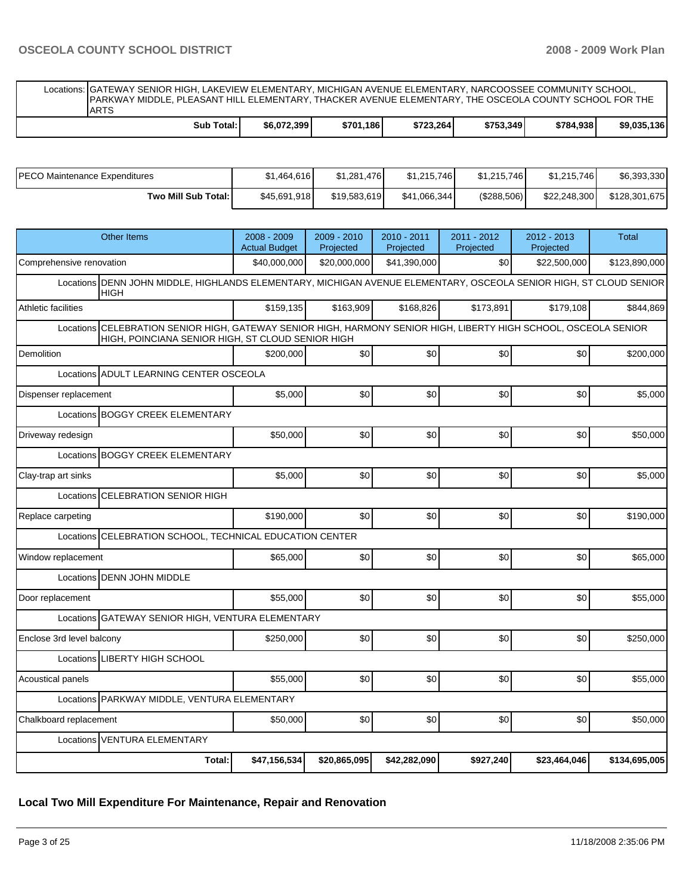Locations: GATEWAY SENIOR HIGH, LAKEVIEW ELEMENTARY, MICHIGAN AVENUE ELEMENTARY, NARCOOSSEE COMMUNITY SCHOOL, PARKWAY MIDDLE, PLEASANT HILL ELEMENTARY, THACKER AVENUE ELEMENTARY, THE OSCEOLA COUNTY SCHOOL FOR THE ARTS **Sub Total: \$6,072,399 \$701,186 \$723,264 \$753,349 \$784,938 \$9,035,136** 

| IPECO Maintenance Expenditures | \$1.464.616  | \$1.281.476  | \$1.215.746  | \$1,215,746 | \$1.215.746  | \$6,393,330   |
|--------------------------------|--------------|--------------|--------------|-------------|--------------|---------------|
| Two Mill Sub Total:            | \$45,691,918 | \$19,583,619 | \$41.066.344 | (\$288,506) | \$22,248,300 | \$128,301,675 |

| <b>Other Items</b>                                                                                                                | 2008 - 2009<br><b>Actual Budget</b>                                                                                                                                   | 2009 - 2010<br>Projected | 2010 - 2011<br>Projected | 2011 - 2012<br>Projected | 2012 - 2013<br>Projected | <b>Total</b>  |  |  |  |  |
|-----------------------------------------------------------------------------------------------------------------------------------|-----------------------------------------------------------------------------------------------------------------------------------------------------------------------|--------------------------|--------------------------|--------------------------|--------------------------|---------------|--|--|--|--|
| Comprehensive renovation                                                                                                          | \$40,000,000                                                                                                                                                          | \$20,000,000             | \$41,390,000             | \$0                      | \$22,500,000             | \$123,890,000 |  |  |  |  |
| Locations DENN JOHN MIDDLE, HIGHLANDS ELEMENTARY, MICHIGAN AVENUE ELEMENTARY, OSCEOLA SENIOR HIGH, ST CLOUD SENIOR<br><b>HIGH</b> |                                                                                                                                                                       |                          |                          |                          |                          |               |  |  |  |  |
| Athletic facilities                                                                                                               | \$159,135                                                                                                                                                             | \$163,909                | \$168,826                | \$173,891                | \$179,108                | \$844,869     |  |  |  |  |
|                                                                                                                                   | Locations CELEBRATION SENIOR HIGH, GATEWAY SENIOR HIGH, HARMONY SENIOR HIGH, LIBERTY HIGH SCHOOL, OSCEOLA SENIOR<br>HIGH, POINCIANA SENIOR HIGH, ST CLOUD SENIOR HIGH |                          |                          |                          |                          |               |  |  |  |  |
| Demolition                                                                                                                        | \$200.000                                                                                                                                                             | \$0                      | \$0                      | \$0                      | \$0                      | \$200,000     |  |  |  |  |
| Locations ADULT LEARNING CENTER OSCEOLA                                                                                           |                                                                                                                                                                       |                          |                          |                          |                          |               |  |  |  |  |
| Dispenser replacement                                                                                                             | \$5,000                                                                                                                                                               | \$0                      | \$0                      | \$0                      | \$0                      | \$5,000       |  |  |  |  |
| Locations BOGGY CREEK ELEMENTARY                                                                                                  |                                                                                                                                                                       |                          |                          |                          |                          |               |  |  |  |  |
| Driveway redesign                                                                                                                 | \$50,000                                                                                                                                                              | \$0                      | \$0                      | \$0                      | \$0                      | \$50,000      |  |  |  |  |
| Locations BOGGY CREEK ELEMENTARY                                                                                                  |                                                                                                                                                                       |                          |                          |                          |                          |               |  |  |  |  |
| Clay-trap art sinks                                                                                                               | \$5,000                                                                                                                                                               | \$0                      | \$0                      | \$0                      | \$0                      | \$5,000       |  |  |  |  |
| <b>CELEBRATION SENIOR HIGH</b><br>Locations                                                                                       |                                                                                                                                                                       |                          |                          |                          |                          |               |  |  |  |  |
| Replace carpeting                                                                                                                 | \$190,000                                                                                                                                                             | \$0                      | \$0                      | \$0                      | \$0                      | \$190.000     |  |  |  |  |
| CELEBRATION SCHOOL, TECHNICAL EDUCATION CENTER<br>Locations                                                                       |                                                                                                                                                                       |                          |                          |                          |                          |               |  |  |  |  |
| Window replacement                                                                                                                | \$65,000                                                                                                                                                              | \$0                      | \$0                      | \$0                      | \$0                      | \$65,000      |  |  |  |  |
| Locations <b>DENN JOHN MIDDLE</b>                                                                                                 |                                                                                                                                                                       |                          |                          |                          |                          |               |  |  |  |  |
| Door replacement                                                                                                                  | \$55.000                                                                                                                                                              | \$0                      | \$0                      | \$0                      | \$0                      | \$55,000      |  |  |  |  |
| Locations GATEWAY SENIOR HIGH, VENTURA ELEMENTARY                                                                                 |                                                                                                                                                                       |                          |                          |                          |                          |               |  |  |  |  |
| Enclose 3rd level balcony                                                                                                         | \$250,000                                                                                                                                                             | \$0                      | \$0                      | \$0                      | \$0                      | \$250,000     |  |  |  |  |
| Locations LIBERTY HIGH SCHOOL                                                                                                     |                                                                                                                                                                       |                          |                          |                          |                          |               |  |  |  |  |
| Acoustical panels                                                                                                                 | \$55,000                                                                                                                                                              | \$0                      | \$0                      | \$0                      | \$0                      | \$55,000      |  |  |  |  |
| Locations PARKWAY MIDDLE, VENTURA ELEMENTARY                                                                                      |                                                                                                                                                                       |                          |                          |                          |                          |               |  |  |  |  |
| Chalkboard replacement                                                                                                            | \$50,000                                                                                                                                                              | \$0                      | \$0                      | \$0                      | \$0                      | \$50,000      |  |  |  |  |
| <b>VENTURA ELEMENTARY</b><br>Locations                                                                                            |                                                                                                                                                                       |                          |                          |                          |                          |               |  |  |  |  |
| Total:                                                                                                                            | \$47,156,534                                                                                                                                                          | \$20,865,095             | \$42,282,090             | \$927,240                | \$23,464,046             | \$134,695,005 |  |  |  |  |

# **Local Two Mill Expenditure For Maintenance, Repair and Renovation**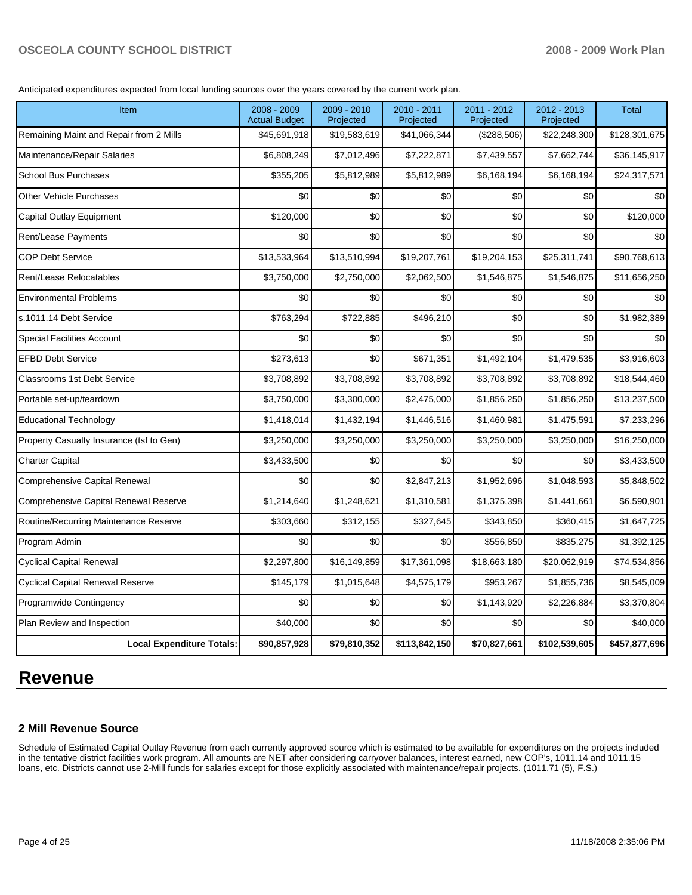Anticipated expenditures expected from local funding sources over the years covered by the current work plan.

| <b>Item</b>                              | 2008 - 2009<br><b>Actual Budget</b> | $2009 - 2010$<br>Projected | 2010 - 2011<br>Projected | 2011 - 2012<br>Projected | $2012 - 2013$<br>Projected | <b>Total</b>  |
|------------------------------------------|-------------------------------------|----------------------------|--------------------------|--------------------------|----------------------------|---------------|
| Remaining Maint and Repair from 2 Mills  | \$45,691,918                        | \$19,583,619               | \$41,066,344             | (\$288,506)              | \$22,248,300               | \$128,301,675 |
| Maintenance/Repair Salaries              | \$6,808,249                         | \$7,012,496                | \$7,222,871              | \$7,439,557              | \$7,662,744                | \$36,145,917  |
| <b>School Bus Purchases</b>              | \$355,205                           | \$5,812,989                | \$5,812,989              | \$6,168,194              | \$6,168,194                | \$24,317,571  |
| <b>Other Vehicle Purchases</b>           | \$0                                 | \$0                        | \$0                      | \$0                      | \$0                        | \$0           |
| Capital Outlay Equipment                 | \$120,000                           | \$0                        | \$0                      | \$0                      | \$0                        | \$120,000     |
| Rent/Lease Payments                      | \$0                                 | \$0                        | \$0                      | \$0                      | \$0                        | \$0           |
| <b>COP Debt Service</b>                  | \$13,533,964                        | \$13,510,994               | \$19,207,761             | \$19,204,153             | \$25,311,741               | \$90,768,613  |
| Rent/Lease Relocatables                  | \$3,750,000                         | \$2,750,000                | \$2,062,500              | \$1,546,875              | \$1,546,875                | \$11,656,250  |
| <b>Environmental Problems</b>            | \$0                                 | \$0                        | \$0                      | \$0                      | \$0                        | \$0           |
| s.1011.14 Debt Service                   | \$763,294                           | \$722,885                  | \$496,210                | \$0                      | \$0                        | \$1,982,389   |
| <b>Special Facilities Account</b>        | \$0                                 | \$0                        | \$0                      | \$0                      | \$0                        | \$0           |
| <b>EFBD Debt Service</b>                 | \$273,613                           | \$0                        | \$671,351                | \$1,492,104              | \$1,479,535                | \$3,916,603   |
| <b>Classrooms 1st Debt Service</b>       | \$3,708,892                         | \$3,708,892                | \$3,708,892              | \$3,708,892              | \$3,708,892                | \$18,544,460  |
| Portable set-up/teardown                 | \$3,750,000                         | \$3,300,000                | \$2,475,000              | \$1,856,250              | \$1,856,250                | \$13,237,500  |
| <b>Educational Technology</b>            | \$1,418,014                         | \$1,432,194                | \$1,446,516              | \$1,460,981              | \$1,475,591                | \$7,233,296   |
| Property Casualty Insurance (tsf to Gen) | \$3,250,000                         | \$3,250,000                | \$3,250,000              | \$3,250,000              | \$3,250,000                | \$16,250,000  |
| <b>Charter Capital</b>                   | \$3,433,500                         | \$0                        | \$0                      | \$0                      | \$0                        | \$3,433,500   |
| Comprehensive Capital Renewal            | \$0                                 | \$0                        | \$2,847,213              | \$1,952,696              | \$1,048,593                | \$5,848,502   |
| Comprehensive Capital Renewal Reserve    | \$1,214,640                         | \$1,248,621                | \$1,310,581              | \$1,375,398              | \$1,441,661                | \$6,590,901   |
| Routine/Recurring Maintenance Reserve    | \$303,660                           | \$312,155                  | \$327,645                | \$343,850                | \$360,415                  | \$1,647,725   |
| Program Admin                            | \$0                                 | \$0                        | \$0                      | \$556,850                | \$835,275                  | \$1,392,125   |
| <b>Cyclical Capital Renewal</b>          | \$2,297,800                         | \$16,149,859               | \$17,361,098             | \$18,663,180             | \$20,062,919               | \$74,534,856  |
| <b>Cyclical Capital Renewal Reserve</b>  | \$145,179                           | \$1,015,648                | \$4,575,179              | \$953,267                | \$1,855,736                | \$8,545,009   |
| Programwide Contingency                  | \$0                                 | \$0                        | \$0                      | \$1,143,920              | \$2,226,884                | \$3,370,804   |
| Plan Review and Inspection               | \$40,000                            | \$0                        | \$0                      | \$0                      | \$0                        | \$40,000      |
| <b>Local Expenditure Totals:</b>         | \$90,857,928                        | \$79,810,352               | \$113,842,150            | \$70,827,661             | \$102,539,605              | \$457,877,696 |

# **Revenue**

#### **2 Mill Revenue Source**

Schedule of Estimated Capital Outlay Revenue from each currently approved source which is estimated to be available for expenditures on the projects included in the tentative district facilities work program. All amounts are NET after considering carryover balances, interest earned, new COP's, 1011.14 and 1011.15 loans, etc. Districts cannot use 2-Mill funds for salaries except for those explicitly associated with maintenance/repair projects. (1011.71 (5), F.S.)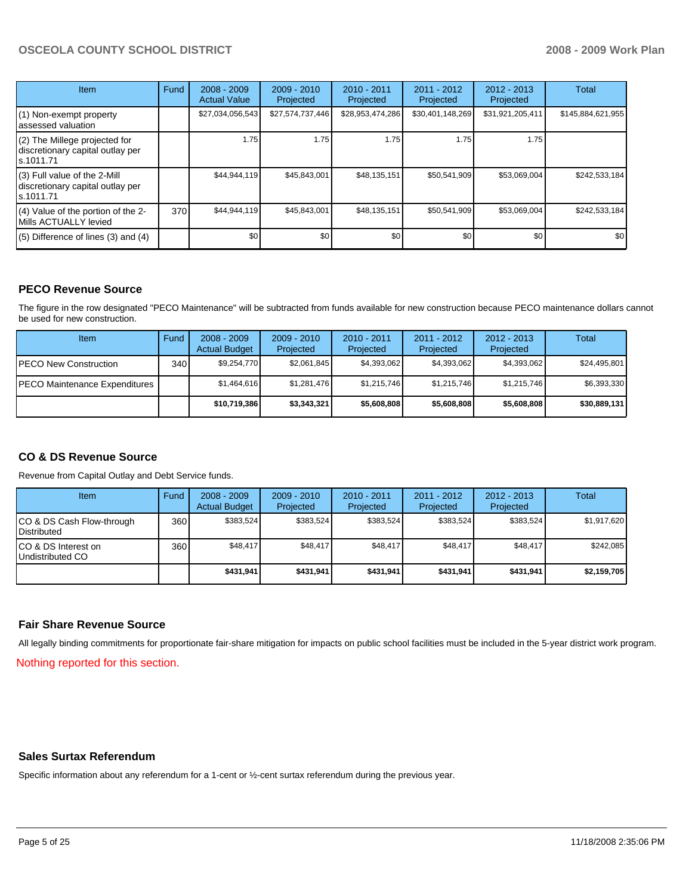| <b>Item</b>                                                                    | Fund | $2008 - 2009$<br><b>Actual Value</b> | $2009 - 2010$<br>Projected | $2010 - 2011$<br>Projected | 2011 - 2012<br>Projected | $2012 - 2013$<br>Projected | Total             |
|--------------------------------------------------------------------------------|------|--------------------------------------|----------------------------|----------------------------|--------------------------|----------------------------|-------------------|
| (1) Non-exempt property<br>assessed valuation                                  |      | \$27,034,056,543                     | \$27,574,737,446           | \$28,953,474,286           | \$30,401,148,269         | \$31,921,205,411           | \$145,884,621,955 |
| (2) The Millege projected for<br>discretionary capital outlay per<br>s.1011.71 |      | 1.75                                 | 1.75                       | 1.75                       | 1.75                     | 1.75                       |                   |
| (3) Full value of the 2-Mill<br>discretionary capital outlay per<br>s.1011.71  |      | \$44,944,119                         | \$45,843,001               | \$48,135,151               | \$50,541,909             | \$53,069,004               | \$242,533,184     |
| (4) Value of the portion of the 2-<br>Mills ACTUALLY levied                    | 370  | \$44,944,119                         | \$45,843,001               | \$48,135,151               | \$50,541,909             | \$53,069,004               | \$242,533,184     |
| $(5)$ Difference of lines $(3)$ and $(4)$                                      |      | \$0                                  | \$0                        | \$0                        | \$0                      | \$0                        | \$0               |

# **PECO Revenue Source**

The figure in the row designated "PECO Maintenance" will be subtracted from funds available for new construction because PECO maintenance dollars cannot be used for new construction.

| Item                                 | Fund             | $2008 - 2009$<br><b>Actual Budget</b> | $2009 - 2010$<br>Projected | $2010 - 2011$<br>Projected | 2011 - 2012<br>Projected | $2012 - 2013$<br>Projected | Total        |
|--------------------------------------|------------------|---------------------------------------|----------------------------|----------------------------|--------------------------|----------------------------|--------------|
| <b>IPECO New Construction</b>        | 340 <sub>l</sub> | \$9,254,770                           | \$2,061,845                | \$4.393.062                | \$4,393,062              | \$4,393,062                | \$24,495,801 |
| <b>PECO Maintenance Expenditures</b> |                  | \$1,464,616                           | \$1,281,476                | \$1,215,746                | \$1,215,746              | \$1,215,746                | \$6,393,330  |
|                                      |                  | \$10.719.386                          | \$3,343,321                | \$5,608,808                | \$5,608,808              | \$5,608,808                | \$30,889,131 |

# **CO & DS Revenue Source**

Revenue from Capital Outlay and Debt Service funds.

| <b>Item</b>                                        | Fund | $2008 - 2009$<br><b>Actual Budget</b> | $2009 - 2010$<br>Projected | $2010 - 2011$<br>Projected | $2011 - 2012$<br>Projected | $2012 - 2013$<br>Projected | Total       |
|----------------------------------------------------|------|---------------------------------------|----------------------------|----------------------------|----------------------------|----------------------------|-------------|
| ICO & DS Cash Flow-through<br><b>I</b> Distributed | 360  | \$383.524                             | \$383,524                  | \$383.524                  | \$383.524                  | \$383.524                  | \$1,917,620 |
| ICO & DS Interest on<br>Undistributed CO           | 360  | \$48.417                              | \$48.417                   | \$48.417                   | \$48.417                   | \$48,417                   | \$242.085   |
|                                                    |      | \$431,941                             | \$431.941                  | \$431.941                  | \$431.941                  | \$431.941                  | \$2,159,705 |

#### **Fair Share Revenue Source**

All legally binding commitments for proportionate fair-share mitigation for impacts on public school facilities must be included in the 5-year district work program.

Nothing reported for this section.

#### **Sales Surtax Referendum**

Specific information about any referendum for a 1-cent or ½-cent surtax referendum during the previous year.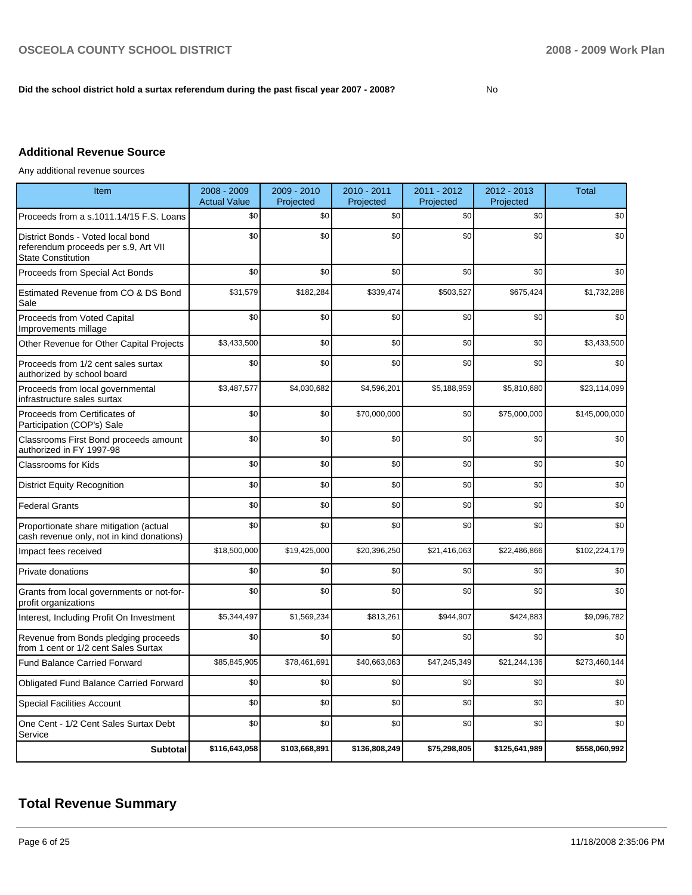#### Did the school district hold a surtax referendum during the past fiscal year 2007 - 2008?

# **Additional Revenue Source**

Any additional revenue sources

| Item                                                                                                   | 2008 - 2009<br><b>Actual Value</b> | 2009 - 2010<br>Projected | 2010 - 2011<br>Projected | 2011 - 2012<br>Projected | 2012 - 2013<br>Projected | <b>Total</b>  |
|--------------------------------------------------------------------------------------------------------|------------------------------------|--------------------------|--------------------------|--------------------------|--------------------------|---------------|
| Proceeds from a s.1011.14/15 F.S. Loans                                                                | \$0                                | \$0                      | \$0                      | \$0                      | \$0                      | \$0           |
| District Bonds - Voted local bond<br>referendum proceeds per s.9, Art VII<br><b>State Constitution</b> | \$0                                | \$0                      | \$0                      | \$0                      | \$0                      | \$0           |
| Proceeds from Special Act Bonds                                                                        | \$0                                | \$0                      | \$0                      | \$0                      | \$0                      | \$0           |
| Estimated Revenue from CO & DS Bond<br>Sale                                                            | \$31,579                           | \$182,284                | \$339,474                | \$503,527                | \$675,424                | \$1,732,288   |
| Proceeds from Voted Capital<br>Improvements millage                                                    | \$0                                | \$0                      | \$0                      | \$0                      | \$0                      | \$0           |
| Other Revenue for Other Capital Projects                                                               | \$3,433,500                        | \$0                      | \$0                      | \$0                      | \$0                      | \$3,433,500   |
| Proceeds from 1/2 cent sales surtax<br>authorized by school board                                      | \$0                                | \$0                      | \$0                      | \$0                      | \$0                      | \$0           |
| Proceeds from local governmental<br>infrastructure sales surtax                                        | \$3,487,577                        | \$4,030,682              | \$4,596,201              | \$5,188,959              | \$5,810,680              | \$23,114,099  |
| Proceeds from Certificates of<br>Participation (COP's) Sale                                            | \$0                                | \$0                      | \$70,000,000             | \$0                      | \$75,000,000             | \$145,000,000 |
| Classrooms First Bond proceeds amount<br>authorized in FY 1997-98                                      | \$0                                | \$0                      | \$0                      | \$0                      | \$0                      | \$0           |
| Classrooms for Kids                                                                                    | \$0                                | \$0                      | \$0                      | \$0                      | \$0                      | \$0           |
| <b>District Equity Recognition</b>                                                                     | \$0                                | \$0                      | \$0                      | \$0                      | \$0                      | \$0           |
| <b>Federal Grants</b>                                                                                  | \$0                                | \$0                      | \$0                      | \$0                      | \$0                      | \$0           |
| Proportionate share mitigation (actual<br>cash revenue only, not in kind donations)                    | \$0                                | \$0                      | \$0                      | \$0                      | \$0                      | \$0           |
| Impact fees received                                                                                   | \$18,500,000                       | \$19,425,000             | \$20,396,250             | \$21,416,063             | \$22,486,866             | \$102,224,179 |
| Private donations                                                                                      | \$0                                | \$0                      | \$0                      | \$0                      | \$0                      | \$0           |
| Grants from local governments or not-for-<br>profit organizations                                      | \$0                                | \$0                      | \$0                      | \$0                      | \$0                      | \$0           |
| Interest, Including Profit On Investment                                                               | \$5,344,497                        | \$1,569,234              | \$813,261                | \$944,907                | \$424,883                | \$9,096,782   |
| Revenue from Bonds pledging proceeds<br>from 1 cent or 1/2 cent Sales Surtax                           | \$0                                | \$0                      | \$0                      | \$0                      | \$0                      | \$0           |
| <b>Fund Balance Carried Forward</b>                                                                    | \$85,845,905                       | \$78,461,691             | \$40,663,063             | \$47,245,349             | \$21,244,136             | \$273,460,144 |
| <b>Obligated Fund Balance Carried Forward</b>                                                          | \$0                                | \$0                      | \$0                      | \$0                      | \$0                      | \$0           |
| <b>Special Facilities Account</b>                                                                      | \$0                                | \$0                      | \$0                      | \$0                      | \$0                      | \$0           |
| One Cent - 1/2 Cent Sales Surtax Debt<br>Service                                                       | \$0                                | \$0                      | \$0                      | \$0                      | \$0                      | \$0           |
| <b>Subtotal</b>                                                                                        | \$116,643,058                      | \$103,668,891            | \$136,808,249            | \$75,298,805             | \$125,641,989            | \$558,060,992 |

# **Total Revenue Summary**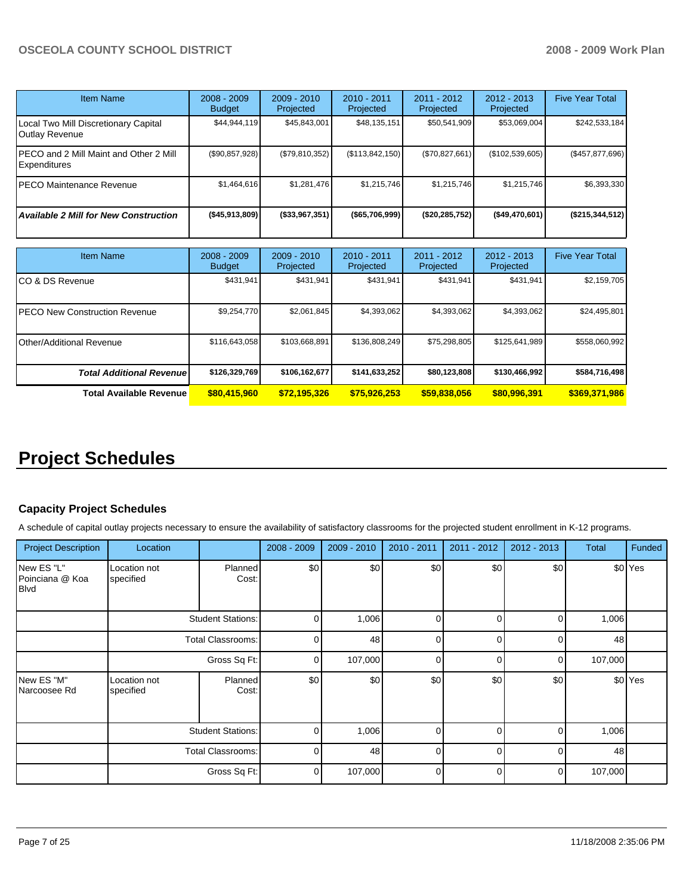| <b>Item Name</b>                                       | 2008 - 2009<br><b>Budget</b> | $2009 - 2010$<br>Projected | $2010 - 2011$<br>Projected | $2011 - 2012$<br>Projected | $2012 - 2013$<br>Projected | <b>Five Year Total</b> |
|--------------------------------------------------------|------------------------------|----------------------------|----------------------------|----------------------------|----------------------------|------------------------|
| Local Two Mill Discretionary Capital<br>Outlay Revenue | \$44,944,119                 | \$45,843,001               | \$48,135,151               | \$50,541,909               | \$53,069,004               | \$242,533,184          |
| PECO and 2 Mill Maint and Other 2 Mill<br>Expenditures | (\$90,857,928)               | (S79.810.352)              | (\$113,842,150)            | (\$70,827,661)             | (\$102,539,605)            | (\$457,877,696)        |
| PECO Maintenance Revenue                               | \$1,464,616                  | \$1,281,476                | \$1,215,746                | \$1.215.746                | \$1,215,746                | \$6,393,330            |
| <b>Available 2 Mill for New Construction</b>           | ( \$45, 913, 809]            | (\$33,967,351)             | (\$65,706,999)             | (\$20, 285, 752)           | ( \$49,470,601)            | (\$215,344,512)        |

| <b>Item Name</b>                      | $2008 - 2009$<br><b>Budget</b> | $2009 - 2010$<br>Projected | $2010 - 2011$<br>Projected | $2011 - 2012$<br>Projected | $2012 - 2013$<br>Projected | <b>Five Year Total</b> |
|---------------------------------------|--------------------------------|----------------------------|----------------------------|----------------------------|----------------------------|------------------------|
| ICO & DS Revenue                      | \$431,941                      | \$431,941                  | \$431.941                  | \$431,941                  | \$431,941                  | \$2,159,705            |
| <b>IPECO New Construction Revenue</b> | \$9,254,770                    | \$2,061,845                | \$4,393,062                | \$4,393,062                | \$4,393,062                | \$24,495,801           |
| <b>IOther/Additional Revenue</b>      | \$116,643,058                  | \$103,668,891              | \$136,808,249              | \$75,298,805               | \$125,641,989              | \$558,060,992          |
| <b>Total Additional Revenuel</b>      | \$126,329,769                  | \$106,162,677              | \$141,633,252              | \$80,123,808               | \$130,466,992              | \$584,716,498          |
| Total Available Revenue               | \$80,415,960                   | \$72.195.326               | \$75,926,253               | \$59,838,056               | \$80,996,391               | \$369,371,986          |

# **Project Schedules**

# **Capacity Project Schedules**

A schedule of capital outlay projects necessary to ensure the availability of satisfactory classrooms for the projected student enrollment in K-12 programs.

| <b>Project Description</b>                   | Location                  |                          | $2008 - 2009$ | $2009 - 2010$ | 2010 - 2011 | $2011 - 2012$ | 2012 - 2013 | <b>Total</b> | Funded  |
|----------------------------------------------|---------------------------|--------------------------|---------------|---------------|-------------|---------------|-------------|--------------|---------|
| New ES "L"<br>Poinciana @ Koa<br><b>Blvd</b> | Location not<br>specified | Planned<br>Cost:         | \$0           | \$0           | \$0         | \$0           | \$0         |              | \$0 Yes |
|                                              |                           | <b>Student Stations:</b> |               | 1,006         | $\Omega$    | $\Omega$      | $\Omega$    | 1,006        |         |
|                                              |                           | Total Classrooms:        |               | 48            | $\Omega$    | $\Omega$      | 0           | 48           |         |
|                                              |                           | Gross Sq Ft:             |               | 107,000       | $\Omega$    | $\Omega$      | 0           | 107,000      |         |
| New ES "M"<br>Narcoosee Rd                   | Location not<br>specified | Planned<br>Cost:         | \$0           | \$0           | \$0         | \$0           | \$0         |              | \$0 Yes |
|                                              |                           | <b>Student Stations:</b> | $\Omega$      | 1,006         | $\Omega$    | $\Omega$      | $\Omega$    | 1,006        |         |
|                                              | <b>Total Classrooms:</b>  |                          | $\Omega$      | 48            | $\Omega$    | $\Omega$      | $\Omega$    | 48           |         |
|                                              |                           | Gross Sq Ft:             | $\Omega$      | 107,000       | $\Omega$    | $\Omega$      | 0           | 107,000      |         |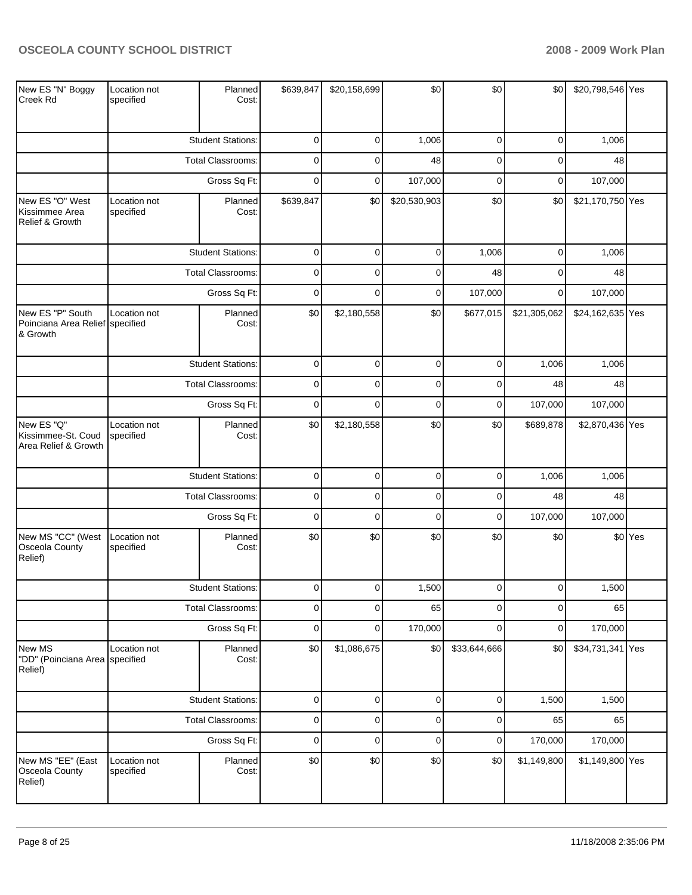| New ES "N" Boggy<br>Creek Rd                                    | Location not<br>specified | Planned<br>Cost:         | \$639,847   | \$20,158,699 | \$0          | \$0          | \$0          | \$20,798,546 Yes |         |
|-----------------------------------------------------------------|---------------------------|--------------------------|-------------|--------------|--------------|--------------|--------------|------------------|---------|
|                                                                 |                           | <b>Student Stations:</b> | $\mathbf 0$ | 0            | 1,006        | 0            | $\mathbf 0$  | 1,006            |         |
|                                                                 |                           | Total Classrooms:        | $\mathbf 0$ | 0            | 48           | $\mathbf 0$  | 0            | 48               |         |
|                                                                 |                           | Gross Sq Ft:             | $\mathbf 0$ | 0            | 107,000      | 0            | 0            | 107,000          |         |
| New ES "O" West<br>Kissimmee Area<br>Relief & Growth            | Location not<br>specified | Planned<br>Cost:         | \$639,847   | \$0          | \$20,530,903 | \$0          | \$0          | \$21,170,750 Yes |         |
|                                                                 |                           | <b>Student Stations:</b> | $\mathbf 0$ | $\mathbf 0$  | $\mathbf 0$  | 1,006        | $\mathbf 0$  | 1,006            |         |
|                                                                 |                           | Total Classrooms:        | $\mathbf 0$ | 0            | $\pmb{0}$    | 48           | $\pmb{0}$    | 48               |         |
|                                                                 |                           | Gross Sq Ft:             | $\mathbf 0$ | 0            | $\pmb{0}$    | 107,000      | $\mathbf 0$  | 107,000          |         |
| New ES "P" South<br>Poinciana Area Relief specified<br>& Growth | Location not              | Planned<br>Cost:         | \$0         | \$2,180,558  | \$0          | \$677,015    | \$21,305,062 | \$24,162,635 Yes |         |
|                                                                 |                           | <b>Student Stations:</b> | $\pmb{0}$   | 0            | $\pmb{0}$    | $\mathbf 0$  | 1,006        | 1,006            |         |
|                                                                 |                           | <b>Total Classrooms:</b> | $\mathbf 0$ | 0            | $\pmb{0}$    | 0            | 48           | 48               |         |
|                                                                 |                           | Gross Sq Ft:             |             | $\mathbf 0$  | $\pmb{0}$    | $\mathbf 0$  | 107,000      | 107,000          |         |
| New ES "Q"<br>Kissimmee-St. Coud<br>Area Relief & Growth        | Location not<br>specified | Planned<br>Cost:         | \$0         | \$2,180,558  | \$0          | \$0          | \$689,878    | \$2,870,436 Yes  |         |
|                                                                 |                           | <b>Student Stations:</b> | $\pmb{0}$   | $\mathbf 0$  | $\mathsf 0$  | $\pmb{0}$    | 1,006        | 1,006            |         |
|                                                                 |                           | Total Classrooms:        | $\mathbf 0$ | 0            | $\pmb{0}$    | 0            | 48           | 48               |         |
|                                                                 |                           | Gross Sq Ft:             | $\mathbf 0$ | $\mathbf 0$  | $\mathbf 0$  | $\mathbf 0$  | 107,000      | 107,000          |         |
| New MS "CC" (West<br>Osceola County<br>Relief)                  | Location not<br>specified | Planned<br>Cost:         | \$0         | \$0          | \$0          | \$0          | \$0          |                  | \$0 Yes |
|                                                                 |                           | <b>Student Stations:</b> | $\Omega$    | $\Omega$     | 1,500        | $\Omega$     | 0            | 1,500            |         |
|                                                                 |                           | Total Classrooms:        | 0           | 0            | 65           | 0            | 0            | 65               |         |
|                                                                 |                           | Gross Sq Ft:             | $\mathbf 0$ | 0            | 170,000      | $\mathbf 0$  | $\pmb{0}$    | 170,000          |         |
| New MS<br>"DD" (Poinciana Area specified<br>Relief)             | Location not              | Planned<br>Cost:         | \$0         | \$1,086,675  | \$0          | \$33,644,666 | \$0          | \$34,731,341 Yes |         |
|                                                                 |                           | <b>Student Stations:</b> | $\mathbf 0$ | $\mathbf 0$  | $\pmb{0}$    | $\pmb{0}$    | 1,500        | 1,500            |         |
|                                                                 |                           | <b>Total Classrooms:</b> | $\mathbf 0$ | 0            | $\pmb{0}$    | $\pmb{0}$    | 65           | 65               |         |
|                                                                 |                           | Gross Sq Ft:             | $\mathbf 0$ | 0            | $\pmb{0}$    | $\pmb{0}$    | 170,000      | 170,000          |         |
| New MS "EE" (East<br>Osceola County<br>Relief)                  | Location not<br>specified | Planned<br>Cost:         | \$0         | \$0          | \$0          | \$0          | \$1,149,800  | \$1,149,800 Yes  |         |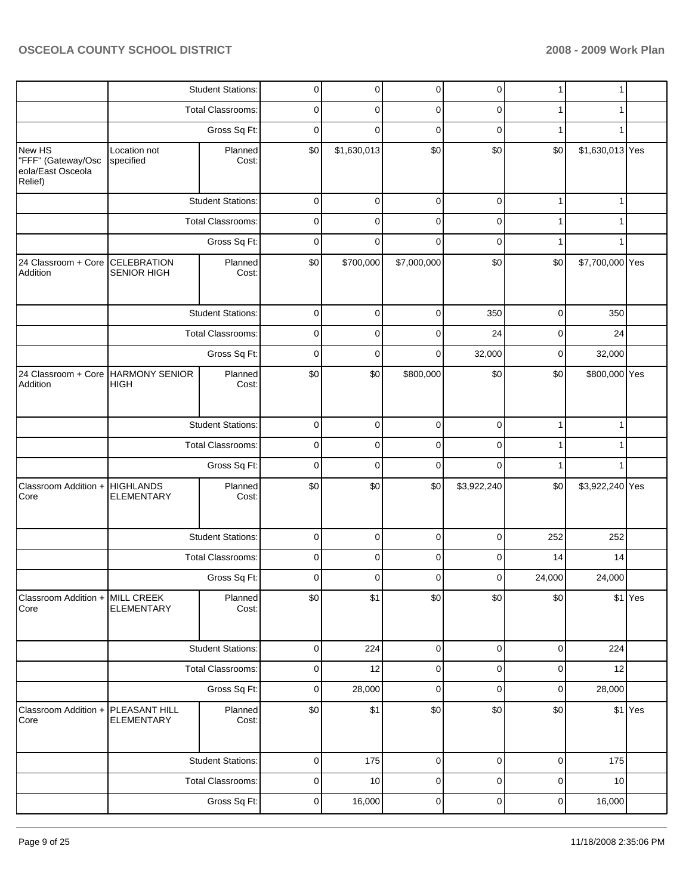|                                                              |                                                   | <b>Student Stations:</b> | $\pmb{0}$   | $\mathbf 0$ | $\pmb{0}$   | $\overline{0}$ | $\mathbf{1}$ | 1               |         |
|--------------------------------------------------------------|---------------------------------------------------|--------------------------|-------------|-------------|-------------|----------------|--------------|-----------------|---------|
|                                                              |                                                   | Total Classrooms:        | 0           | 0           | 0           | 0              | 1            | 1               |         |
|                                                              |                                                   | Gross Sq Ft:             | $\mathbf 0$ | $\Omega$    | $\mathbf 0$ | $\mathbf 0$    | 1            | 1               |         |
| New HS<br>"FFF" (Gateway/Osc<br>eola/East Osceola<br>Relief) | Location not<br>specified                         | Planned<br>Cost:         | \$0         | \$1,630,013 | \$0         | \$0            | \$0          | \$1,630,013 Yes |         |
|                                                              |                                                   | <b>Student Stations:</b> | $\mathbf 0$ | $\mathbf 0$ | $\mathbf 0$ | $\pmb{0}$      | $\mathbf{1}$ | $\mathbf{1}$    |         |
|                                                              |                                                   | Total Classrooms:        | 0           | $\mathbf 0$ | $\pmb{0}$   | 0              | $\mathbf{1}$ | 1               |         |
|                                                              |                                                   | Gross Sq Ft:             | $\mathbf 0$ | 0           | $\mathbf 0$ | $\pmb{0}$      | $\mathbf{1}$ | 1               |         |
| 24 Classroom + Core CELEBRATION<br>Addition                  | <b>SENIOR HIGH</b>                                | Planned<br>Cost:         | \$0         | \$700,000   | \$7,000,000 | \$0            | \$0          | \$7,700,000 Yes |         |
|                                                              |                                                   | <b>Student Stations:</b> | $\pmb{0}$   | 0           | $\pmb{0}$   | 350            | $\mathbf 0$  | 350             |         |
|                                                              |                                                   | Total Classrooms:        | $\mathbf 0$ | 0           | $\mathbf 0$ | 24             | 0            | 24              |         |
|                                                              |                                                   | Gross Sq Ft:             | $\mathbf 0$ | 0           | $\mathbf 0$ | 32,000         | $\pmb{0}$    | 32,000          |         |
| Addition                                                     | 24 Classroom + Core HARMONY SENIOR<br><b>HIGH</b> | Planned<br>Cost:         | \$0         | \$0         | \$800,000   | \$0            | \$0          | \$800,000 Yes   |         |
|                                                              |                                                   | <b>Student Stations:</b> | $\mathbf 0$ | $\pmb{0}$   | $\mathbf 0$ | $\pmb{0}$      | $\mathbf{1}$ | $\mathbf{1}$    |         |
|                                                              |                                                   | Total Classrooms:        | 0           | 0           | $\pmb{0}$   | $\pmb{0}$      | 1            | 1               |         |
|                                                              |                                                   | Gross Sq Ft:             | $\mathbf 0$ | $\mathbf 0$ | $\pmb{0}$   | $\mathbf 0$    | $\mathbf{1}$ | 1               |         |
| Classroom Addition +<br>Core                                 | <b>HIGHLANDS</b><br><b>ELEMENTARY</b>             | Planned<br>Cost:         | \$0         | \$0         | \$0         | \$3,922,240    | \$0          | \$3,922,240 Yes |         |
|                                                              |                                                   | <b>Student Stations:</b> | $\pmb{0}$   | $\mathbf 0$ | $\pmb{0}$   | $\overline{0}$ | 252          | 252             |         |
|                                                              |                                                   | Total Classrooms:        | 0           | 0           | $\pmb{0}$   | 0              | 14           | 14              |         |
|                                                              |                                                   | Gross Sq Ft:             | 0           | 0           | $\mathbf 0$ | 0              | 24,000       | 24,000          |         |
| Classroom Addition + MILL CREEK<br>Core                      | <b>ELEMENTARY</b>                                 | Planned<br>Cost:         | \$0         | \$1         | \$0         | \$0            | \$0          |                 | \$1 Yes |
|                                                              |                                                   | <b>Student Stations:</b> | $\pmb{0}$   | 224         | $\mathbf 0$ | $\mathbf 0$    | $\mathbf 0$  | 224             |         |
|                                                              |                                                   | Total Classrooms:        | $\mathbf 0$ | 12          | $\pmb{0}$   | $\pmb{0}$      | $\pmb{0}$    | 12              |         |
|                                                              |                                                   | Gross Sq Ft:             | $\pmb{0}$   | 28,000      | $\mathbf 0$ | $\mathbf 0$    | $\mathbf 0$  | 28,000          |         |
| Classroom Addition +<br>Core                                 | PLEASANT HILL<br><b>ELEMENTARY</b>                | Planned<br>Cost:         | \$0         | \$1         | \$0         | \$0            | \$0          |                 | \$1 Yes |
|                                                              |                                                   | <b>Student Stations:</b> | $\pmb{0}$   | 175         | $\mathbf 0$ | $\mathbf 0$    | $\mathbf 0$  | 175             |         |
|                                                              |                                                   | Total Classrooms:        | $\pmb{0}$   | 10          | $\pmb{0}$   | $\mathbf 0$    | $\mathbf 0$  | 10              |         |
|                                                              |                                                   | Gross Sq Ft:             | $\pmb{0}$   | 16,000      | $\pmb{0}$   | $\mathbf 0$    | $\pmb{0}$    | 16,000          |         |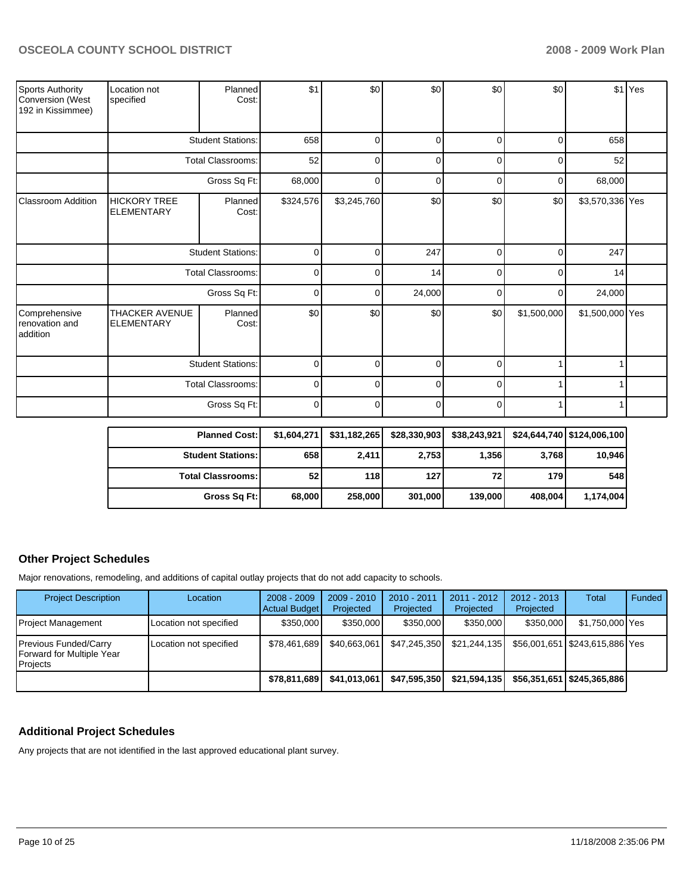| Sports Authority<br>Conversion (West<br>192 in Kissimmee) | Location not<br>specified                  | Planned<br>Cost:         | \$1       | \$0         | \$0      | \$0      | \$0         |                 | \$1 Yes |
|-----------------------------------------------------------|--------------------------------------------|--------------------------|-----------|-------------|----------|----------|-------------|-----------------|---------|
|                                                           |                                            | <b>Student Stations:</b> | 658       | ∩           | $\Omega$ | n        | O           | 658             |         |
|                                                           |                                            | <b>Total Classrooms:</b> | 52        |             | $\Omega$ |          | O           | 52              |         |
|                                                           |                                            | Gross Sq Ft:             | 68,000    | 0           | 0        | 0        | 0           | 68,000          |         |
| <b>Classroom Addition</b>                                 | <b>HICKORY TREE</b><br><b>ELEMENTARY</b>   | Planned<br>Cost:         | \$324,576 | \$3,245,760 | \$0      | \$0      | \$0         | \$3,570,336 Yes |         |
|                                                           |                                            | <b>Student Stations:</b> |           | ŋ           | 247      | 0        | 0           | 247             |         |
|                                                           |                                            | Total Classrooms:        | 0         | U           | 14       | $\Omega$ | $\Omega$    | 14              |         |
|                                                           |                                            | Gross Sq Ft:             | $\Omega$  |             | 24,000   |          | 0           | 24,000          |         |
| Comprehensive<br>renovation and<br>addition               | <b>THACKER AVENUE</b><br><b>ELEMENTARY</b> | Planned<br>Cost:         | \$0       | \$0         | \$0      | \$0      | \$1,500,000 | \$1,500,000 Yes |         |
|                                                           |                                            | <b>Student Stations:</b> |           | ∩           | $\Omega$ | ∩        |             |                 |         |
|                                                           |                                            | Total Classrooms:        | 0         | ∩           | 0        | ∩        |             |                 |         |
|                                                           |                                            | Gross Sq Ft:             | $\Omega$  | 0           | $\Omega$ | 0        |             |                 |         |

| <b>Planned Cost:</b>       | \$1,604,271 | \$31,182,265 | \$28,330,903 | \$38,243,921 |         | \$24,644,740 \$124,006,100 |
|----------------------------|-------------|--------------|--------------|--------------|---------|----------------------------|
| <b>Student Stations:</b>   | 658         | 2,411        | 2,753        | 1,356        | 3,768   | 10,946                     |
| <b>Total Classrooms: I</b> | 52          | 118          | 127          | 72 I         | 179     | 548 l                      |
| Gross Sq Ft:               | 68,000      | 258,000      | 301,000      | 139,000      | 408.004 | 1.174.004                  |

# **Other Project Schedules**

Major renovations, remodeling, and additions of capital outlay projects that do not add capacity to schools.

| <b>Project Description</b>                                     | Location               | $2008 - 2009$<br><b>Actual Budget</b> | $2009 - 2010$<br>Projected | 2010 - 2011<br>Projected | $2011 - 2012$<br>Projected | $2012 - 2013$<br>Projected | Total                              | Funded |
|----------------------------------------------------------------|------------------------|---------------------------------------|----------------------------|--------------------------|----------------------------|----------------------------|------------------------------------|--------|
| Project Management                                             | Location not specified | \$350,000                             | \$350,000                  | \$350,000                | \$350,000                  | \$350,000                  | \$1,750,000 Yes                    |        |
| Previous Funded/Carry<br>Forward for Multiple Year<br>Projects | Location not specified | \$78.461.689                          | \$40.663.061               | \$47,245,350             | \$21.244.135               |                            | \$56,001,651   \$243,615,886   Yes |        |
|                                                                |                        | \$78,811,689                          | \$41,013,061               | \$47,595,350             | \$21,594,135               |                            | \$56,351,651   \$245,365,886       |        |

# **Additional Project Schedules**

Any projects that are not identified in the last approved educational plant survey.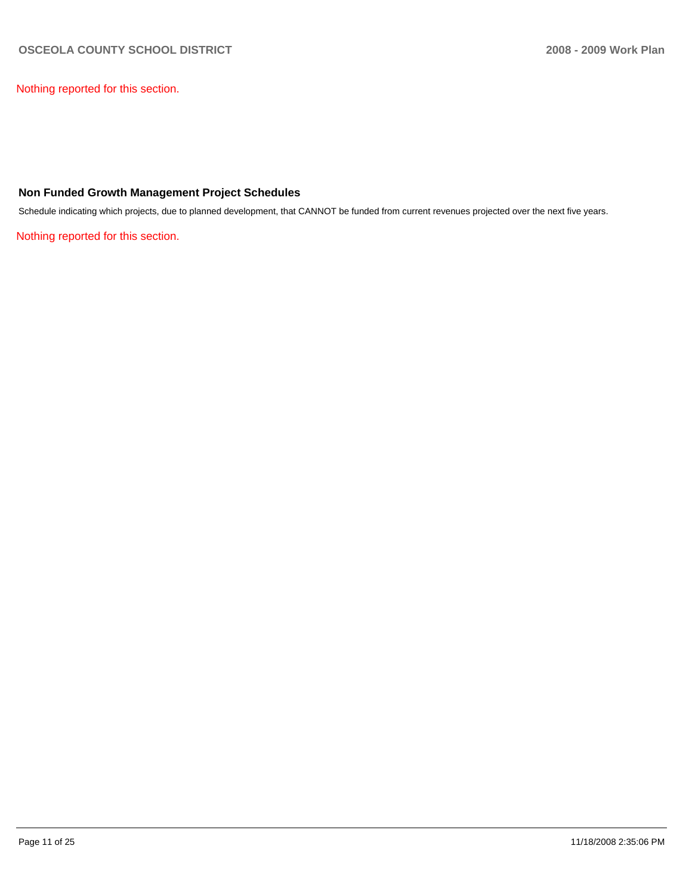Nothing reported for this section.

### **Non Funded Growth Management Project Schedules**

Schedule indicating which projects, due to planned development, that CANNOT be funded from current revenues projected over the next five years.

Nothing reported for this section.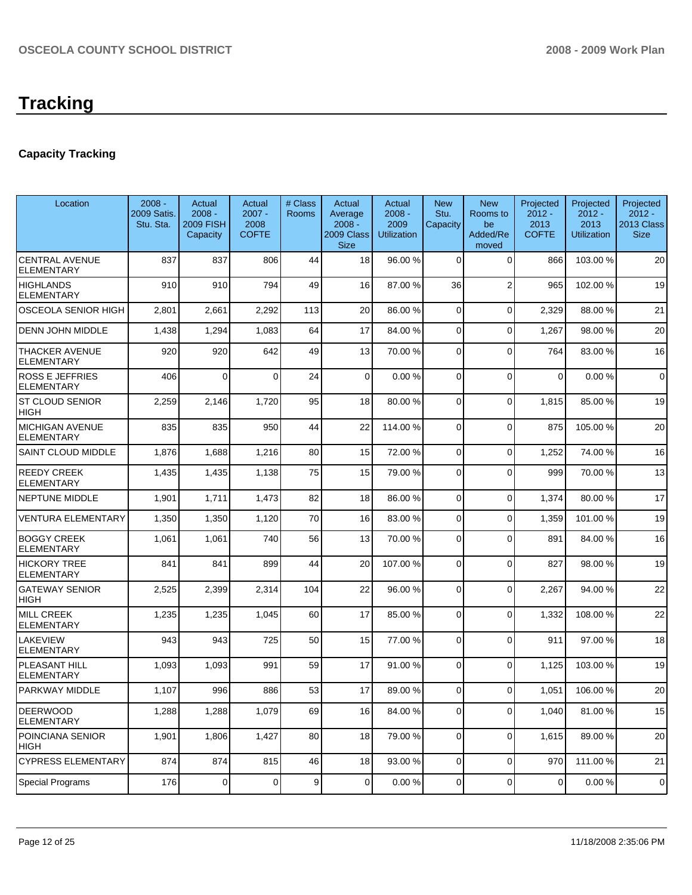# **Capacity Tracking**

| Location                                   | $2008 -$<br>2009 Satis.<br>Stu. Sta. | Actual<br>$2008 -$<br><b>2009 FISH</b><br>Capacity | Actual<br>$2007 -$<br>2008<br><b>COFTE</b> | # Class<br>Rooms | Actual<br>Average<br>$2008 -$<br>2009 Class<br><b>Size</b> | Actual<br>$2008 -$<br>2009<br><b>Utilization</b> | <b>New</b><br>Stu.<br>Capacity | <b>New</b><br>Rooms to<br>be<br>Added/Re<br>moved | Projected<br>$2012 -$<br>2013<br><b>COFTE</b> | Projected<br>$2012 -$<br>2013<br><b>Utilization</b> | Projected<br>$2012 -$<br>2013 Class<br><b>Size</b> |
|--------------------------------------------|--------------------------------------|----------------------------------------------------|--------------------------------------------|------------------|------------------------------------------------------------|--------------------------------------------------|--------------------------------|---------------------------------------------------|-----------------------------------------------|-----------------------------------------------------|----------------------------------------------------|
| <b>CENTRAL AVENUE</b><br><b>ELEMENTARY</b> | 837                                  | 837                                                | 806                                        | 44               | 18                                                         | 96.00 %                                          | 0                              | 0                                                 | 866                                           | 103.00 %                                            | 20                                                 |
| <b>HIGHLANDS</b><br><b>ELEMENTARY</b>      | 910                                  | 910                                                | 794                                        | 49               | 16                                                         | 87.00 %                                          | 36                             | $\overline{2}$                                    | 965                                           | 102.00 %                                            | 19                                                 |
| <b>OSCEOLA SENIOR HIGH</b>                 | 2,801                                | 2,661                                              | 2,292                                      | 113              | 20                                                         | 86.00 %                                          | 0                              | $\overline{0}$                                    | 2,329                                         | 88.00 %                                             | 21                                                 |
| DENN JOHN MIDDLE                           | 1,438                                | 1,294                                              | 1,083                                      | 64               | 17                                                         | 84.00 %                                          | 0                              | $\Omega$                                          | 1,267                                         | 98.00 %                                             | 20                                                 |
| <b>THACKER AVENUE</b><br><b>ELEMENTARY</b> | 920                                  | 920                                                | 642                                        | 49               | 13                                                         | 70.00 %                                          | 0                              | $\Omega$                                          | 764                                           | 83.00 %                                             | 16                                                 |
| <b>ROSS E JEFFRIES</b><br>ELEMENTARY       | 406                                  | $\Omega$                                           | $\Omega$                                   | 24               | $\Omega$                                                   | 0.00%                                            | $\Omega$                       | $\Omega$                                          | $\mathbf 0$                                   | 0.00%                                               | $\mathbf 0$                                        |
| ST CLOUD SENIOR<br>HIGH                    | 2,259                                | 2,146                                              | 1,720                                      | 95               | 18                                                         | 80.00 %                                          | 0                              | $\mathbf 0$                                       | 1,815                                         | 85.00 %                                             | 19                                                 |
| MICHIGAN AVENUE<br><b>ELEMENTARY</b>       | 835                                  | 835                                                | 950                                        | 44               | 22                                                         | 114.00 %                                         | $\Omega$                       | $\Omega$                                          | 875                                           | 105.00 %                                            | 20                                                 |
| SAINT CLOUD MIDDLE                         | 1,876                                | 1,688                                              | 1,216                                      | 80               | 15                                                         | 72.00 %                                          | 0                              | $\Omega$                                          | 1,252                                         | 74.00 %                                             | 16                                                 |
| <b>REEDY CREEK</b><br><b>ELEMENTARY</b>    | 1,435                                | 1,435                                              | 1,138                                      | 75               | 15                                                         | 79.00 %                                          | $\Omega$                       | $\Omega$                                          | 999                                           | 70.00%                                              | 13                                                 |
| <b>NEPTUNE MIDDLE</b>                      | 1,901                                | 1,711                                              | 1,473                                      | 82               | 18                                                         | 86.00 %                                          | $\Omega$                       | $\mathbf{0}$                                      | 1,374                                         | 80.00 %                                             | 17                                                 |
| <b>VENTURA ELEMENTARY</b>                  | 1,350                                | 1,350                                              | 1,120                                      | 70               | 16                                                         | 83.00 %                                          | $\Omega$                       | $\Omega$                                          | 1,359                                         | 101.00 %                                            | 19                                                 |
| <b>BOGGY CREEK</b><br><b>ELEMENTARY</b>    | 1,061                                | 1,061                                              | 740                                        | 56               | 13                                                         | 70.00 %                                          | $\Omega$                       | $\mathbf{0}$                                      | 891                                           | 84.00 %                                             | 16                                                 |
| <b>HICKORY TREE</b><br><b>ELEMENTARY</b>   | 841                                  | 841                                                | 899                                        | 44               | 20                                                         | 107.00 %                                         | $\Omega$                       | $\mathbf 0$                                       | 827                                           | 98.00 %                                             | 19                                                 |
| <b>GATEWAY SENIOR</b><br>HIGH              | 2,525                                | 2,399                                              | 2,314                                      | 104              | 22                                                         | 96.00 %                                          | $\Omega$                       | $\Omega$                                          | 2,267                                         | 94.00 %                                             | 22                                                 |
| <b>MILL CREEK</b><br><b>ELEMENTARY</b>     | 1,235                                | 1,235                                              | 1,045                                      | 60               | 17                                                         | 85.00 %                                          | 0                              | $\Omega$                                          | 1,332                                         | 108.00 %                                            | 22                                                 |
| LAKEVIEW<br><b>ELEMENTARY</b>              | 943                                  | 943                                                | 725                                        | 50               | 15                                                         | 77.00 %                                          | $\Omega$                       | $\Omega$                                          | 911                                           | 97.00 %                                             | 18                                                 |
| PLEASANT HILL<br>ELEMENTARY                | 1,093                                | 1,093                                              | 991                                        | 59               | 17                                                         | 91.00 %                                          | $\Omega$                       | $\Omega$                                          | 1,125                                         | 103.00 %                                            | 19                                                 |
| PARKWAY MIDDLE                             | 1,107                                | 996                                                | 886                                        | 53               | 17                                                         | 89.00 %                                          | 0                              | $\Omega$                                          | 1,051                                         | 106.00%                                             | 20                                                 |
| <b>DEERWOOD</b><br><b>ELEMENTARY</b>       | 1,288                                | 1,288                                              | 1,079                                      | 69               | 16                                                         | 84.00 %                                          | $\overline{0}$                 | 0                                                 | 1,040                                         | 81.00%                                              | 15                                                 |
| POINCIANA SENIOR<br>HIGH                   | 1,901                                | 1,806                                              | 1,427                                      | 80               | 18                                                         | 79.00 %                                          | $\overline{0}$                 | 0                                                 | 1,615                                         | 89.00 %                                             | 20                                                 |
| <b>CYPRESS ELEMENTARY</b>                  | 874                                  | 874                                                | 815                                        | 46               | 18                                                         | 93.00 %                                          | $\overline{0}$                 | 0                                                 | 970                                           | 111.00 %                                            | 21                                                 |
| Special Programs                           | 176                                  | 0                                                  | $\overline{0}$                             | 9                | $\overline{0}$                                             | 0.00 %                                           | $\overline{0}$                 | 0                                                 | $\overline{0}$                                | 0.00%                                               | $\mathbf 0$                                        |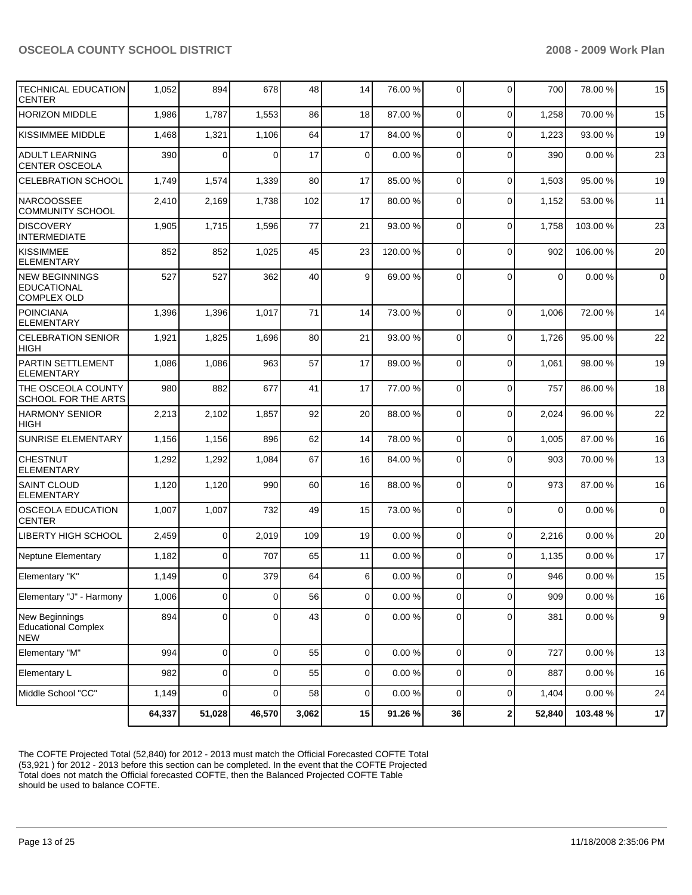| TECHNICAL EDUCATION<br><b>CENTER</b>                              | 1,052  | 894            | 678            | 48    | 14             | 76.00 %   | $\Omega$       | $\mathbf 0$  | 700         | 78.00 %   | 15             |
|-------------------------------------------------------------------|--------|----------------|----------------|-------|----------------|-----------|----------------|--------------|-------------|-----------|----------------|
| <b>HORIZON MIDDLE</b>                                             | 1,986  | 1,787          | 1,553          | 86    | 18             | 87.00 %   | $\Omega$       | $\mathbf 0$  | 1,258       | 70.00 %   | 15             |
| <b>KISSIMMEE MIDDLE</b>                                           | 1,468  | 1,321          | 1,106          | 64    | 17             | 84.00 %   | $\Omega$       | $\mathbf 0$  | 1,223       | 93.00 %   | 19             |
| <b>ADULT LEARNING</b><br><b>CENTER OSCEOLA</b>                    | 390    | 0              | $\Omega$       | 17    | $\Omega$       | 0.00%     | $\Omega$       | $\Omega$     | 390         | 0.00%     | 23             |
| <b>CELEBRATION SCHOOL</b>                                         | 1,749  | 1,574          | 1,339          | 80    | 17             | 85.00 %   | $\Omega$       | $\mathbf 0$  | 1,503       | 95.00 %   | 19             |
| <b>NARCOOSSEE</b><br><b>COMMUNITY SCHOOL</b>                      | 2,410  | 2,169          | 1,738          | 102   | 17             | 80.00 %   | $\Omega$       | 0            | 1,152       | 53.00 %   | 11             |
| <b>DISCOVERY</b><br><b>INTERMEDIATE</b>                           | 1,905  | 1,715          | 1,596          | 77    | 21             | 93.00 %   | $\Omega$       | 0            | 1,758       | 103.00 %  | 23             |
| KISSIMMEE<br><b>ELEMENTARY</b>                                    | 852    | 852            | 1,025          | 45    | 23             | 120.00 %  | $\Omega$       | $\mathbf 0$  | 902         | 106.00 %  | 20             |
| <b>NEW BEGINNINGS</b><br><b>EDUCATIONAL</b><br><b>COMPLEX OLD</b> | 527    | 527            | 362            | 40    | 9              | 69.00 %   | $\Omega$       | $\Omega$     | $\mathbf 0$ | 0.00%     | $\overline{0}$ |
| <b>POINCIANA</b><br><b>ELEMENTARY</b>                             | 1,396  | 1,396          | 1,017          | 71    | 14             | 73.00 %   | $\Omega$       | $\Omega$     | 1,006       | 72.00 %   | 14             |
| <b>CELEBRATION SENIOR</b><br><b>HIGH</b>                          | 1,921  | 1,825          | 1,696          | 80    | 21             | 93.00 %   | $\Omega$       | 0            | 1,726       | 95.00 %   | 22             |
| PARTIN SETTLEMENT<br><b>ELEMENTARY</b>                            | 1,086  | 1,086          | 963            | 57    | 17             | 89.00 %   | $\mathbf 0$    | $\Omega$     | 1,061       | 98.00 %   | 19             |
| THE OSCEOLA COUNTY<br><b>SCHOOL FOR THE ARTS</b>                  | 980    | 882            | 677            | 41    | 17             | 77.00 %   | 0              | 0            | 757         | 86.00 %   | 18             |
| <b>HARMONY SENIOR</b><br><b>HIGH</b>                              | 2,213  | 2,102          | 1,857          | 92    | 20             | 88.00 %   | $\Omega$       | $\mathbf 0$  | 2,024       | 96.00 %   | 22             |
| <b>SUNRISE ELEMENTARY</b>                                         | 1,156  | 1,156          | 896            | 62    | 14             | 78.00 %   | $\Omega$       | 0            | 1,005       | 87.00 %   | 16             |
| <b>CHESTNUT</b><br><b>ELEMENTARY</b>                              | 1,292  | 1,292          | 1,084          | 67    | 16             | 84.00 %   | 0              | $\Omega$     | 903         | 70.00 %   | 13             |
| <b>SAINT CLOUD</b><br><b>ELEMENTARY</b>                           | 1,120  | 1,120          | 990            | 60    | 16             | 88.00 %   | 0              | $\mathbf 0$  | 973         | 87.00 %   | 16             |
| <b>OSCEOLA EDUCATION</b><br><b>CENTER</b>                         | 1,007  | 1,007          | 732            | 49    | 15             | 73.00 %   | $\Omega$       | $\mathbf 0$  | $\mathbf 0$ | 0.00%     | $\overline{0}$ |
| <b>LIBERTY HIGH SCHOOL</b>                                        | 2,459  | $\mathbf 0$    | 2,019          | 109   | 19             | 0.00%     | $\overline{0}$ | 0            | 2,216       | 0.00%     | 20             |
| Neptune Elementary                                                | 1,182  | $\overline{0}$ | 707            | 65    | 11             | 0.00%     | $\overline{0}$ | $\mathbf 0$  | 1,135       | 0.00%     | 17             |
| Elementary "K"                                                    | 1,149  | 0              | 379            | 64    | 6              | 0.00%     | $\Omega$       | $\Omega$     | 946         | 0.00%     | 15             |
| Elementary "J" - Harmony                                          | 1,006  | $\overline{0}$ | $\overline{0}$ | 56    | $\circ$        | $0.00 \%$ | $\circ$        | 0            | 909         | $0.00 \%$ | 16             |
| New Beginnings<br><b>Educational Complex</b><br><b>NEW</b>        | 894    | 0              | $\Omega$       | 43    | $\overline{0}$ | $0.00 \%$ | $\overline{0}$ | 0            | 381         | 0.00%     | $9$            |
| Elementary "M"                                                    | 994    | $\mathbf 0$    | $\overline{0}$ | 55    | 0              | 0.00%     | $\mathbf{0}$   | $\mathbf 0$  | 727         | $0.00 \%$ | 13             |
| Elementary L                                                      | 982    | 0              | $\overline{0}$ | 55    | $\overline{0}$ | 0.00%     | $\overline{0}$ | 0            | 887         | 0.00%     | 16             |
| Middle School "CC"                                                | 1,149  | $\overline{0}$ | $\Omega$       | 58    | $\overline{0}$ | 0.00%     | 0              | 0            | 1,404       | 0.00 %    | 24             |
|                                                                   | 64,337 | 51,028         | 46,570         | 3,062 | 15             | 91.26%    | 36             | $\mathbf{2}$ | 52,840      | 103.48%   | 17             |

The COFTE Projected Total (52,840) for 2012 - 2013 must match the Official Forecasted COFTE Total (53,921 ) for 2012 - 2013 before this section can be completed. In the event that the COFTE Projected Total does not match the Official forecasted COFTE, then the Balanced Projected COFTE Table should be used to balance COFTE.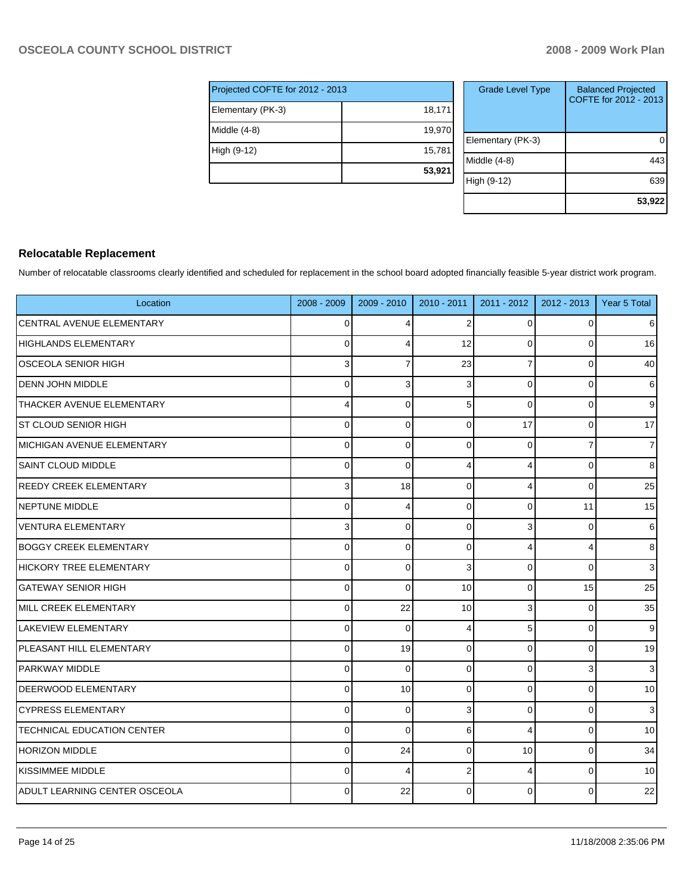| Projected COFTE for 2012 - 2013 |        |  |  |  |  |  |
|---------------------------------|--------|--|--|--|--|--|
| Elementary (PK-3)               | 18,171 |  |  |  |  |  |
| Middle (4-8)                    | 19,970 |  |  |  |  |  |
| High (9-12)                     | 15,781 |  |  |  |  |  |
|                                 | 53,921 |  |  |  |  |  |

| <b>Grade Level Type</b> | <b>Balanced Projected</b><br>COFTE for 2012 - 2013 |
|-------------------------|----------------------------------------------------|
| Elementary (PK-3)       |                                                    |
| Middle (4-8)            | 443                                                |
| High (9-12)             | 639                                                |
|                         | 53,922                                             |

### **Relocatable Replacement**

Number of relocatable classrooms clearly identified and scheduled for replacement in the school board adopted financially feasible 5-year district work program.

| Location                          | 2008 - 2009 | 2009 - 2010    | 2010 - 2011    | 2011 - 2012 | $2012 - 2013$ | Year 5 Total    |
|-----------------------------------|-------------|----------------|----------------|-------------|---------------|-----------------|
| <b>CENTRAL AVENUE ELEMENTARY</b>  | $\mathbf 0$ | $\overline{4}$ | $\overline{2}$ | 0           | $\Omega$      | $6 \mid$        |
| HIGHLANDS ELEMENTARY              | $\mathbf 0$ | $\overline{4}$ | 12             | 0           | 0             | 16              |
| <b>OSCEOLA SENIOR HIGH</b>        | 3           | $\overline{7}$ | 23             | 7           | $\Omega$      | 40              |
| <b>DENN JOHN MIDDLE</b>           | $\Omega$    | 3              | 3              | $\Omega$    | $\Omega$      | $6 \,$          |
| THACKER AVENUE ELEMENTARY         | 4           | $\Omega$       | 5              | $\mathbf 0$ | $\Omega$      | $\overline{9}$  |
| <b>ST CLOUD SENIOR HIGH</b>       | $\Omega$    | $\Omega$       | $\Omega$       | 17          | $\Omega$      | 17              |
| MICHIGAN AVENUE ELEMENTARY        | 0           | $\mathbf 0$    | $\Omega$       | $\mathbf 0$ | 7             | $\overline{7}$  |
| <b>SAINT CLOUD MIDDLE</b>         | $\mathbf 0$ | $\Omega$       | Δ              | 4           | $\Omega$      | 8               |
| REEDY CREEK ELEMENTARY            | 3           | 18             | $\Omega$       | 4           | $\Omega$      | 25              |
| <b>NEPTUNE MIDDLE</b>             | 0           | Δ              | $\Omega$       | 0           | 11            | 15              |
| <b>VENTURA ELEMENTARY</b>         | 3           | $\Omega$       | 0              | 3           | $\mathbf 0$   | $6 \,$          |
| <b>BOGGY CREEK ELEMENTARY</b>     | 0           | $\mathbf 0$    | 0              | 4           | 4             | $\bf 8$         |
| HICKORY TREE ELEMENTARY           | $\mathbf 0$ | $\Omega$       | 3              | 0           | $\Omega$      | $\overline{3}$  |
| <b>GATEWAY SENIOR HIGH</b>        | $\Omega$    | $\Omega$       | 10             | 0           | 15            | 25              |
| MILL CREEK ELEMENTARY             | $\mathbf 0$ | 22             | 10             | 3           | 0             | 35              |
| <b>LAKEVIEW ELEMENTARY</b>        | $\Omega$    | $\Omega$       | 4              | 5           | $\Omega$      | $\overline{9}$  |
| PLEASANT HILL ELEMENTARY          | $\mathbf 0$ | 19             | $\Omega$       | $\mathbf 0$ | 0             | 19              |
| <b>PARKWAY MIDDLE</b>             | $\mathbf 0$ | $\Omega$       | $\Omega$       | $\Omega$    | 3             | 3 <sup>1</sup>  |
| <b>DEERWOOD ELEMENTARY</b>        | $\Omega$    | 10             | $\Omega$       | $\Omega$    | $\Omega$      | 10 <sup>1</sup> |
| <b>CYPRESS ELEMENTARY</b>         | 0           | $\Omega$       | 3              | 0           | 0             | 3 <sup>1</sup>  |
| <b>TECHNICAL EDUCATION CENTER</b> | $\mathbf 0$ | $\Omega$       | 6              | 4           | $\mathbf 0$   | 10              |
| HORIZON MIDDLE                    | $\mathbf 0$ | 24             | $\Omega$       | 10          | $\mathbf 0$   | 34              |
| KISSIMMEE MIDDLE                  | $\mathbf 0$ | $\overline{4}$ | $\overline{2}$ | 4           | $\Omega$      | 10              |
| ADULT LEARNING CENTER OSCEOLA     | $\Omega$    | 22             | $\Omega$       | $\Omega$    | $\Omega$      | 22              |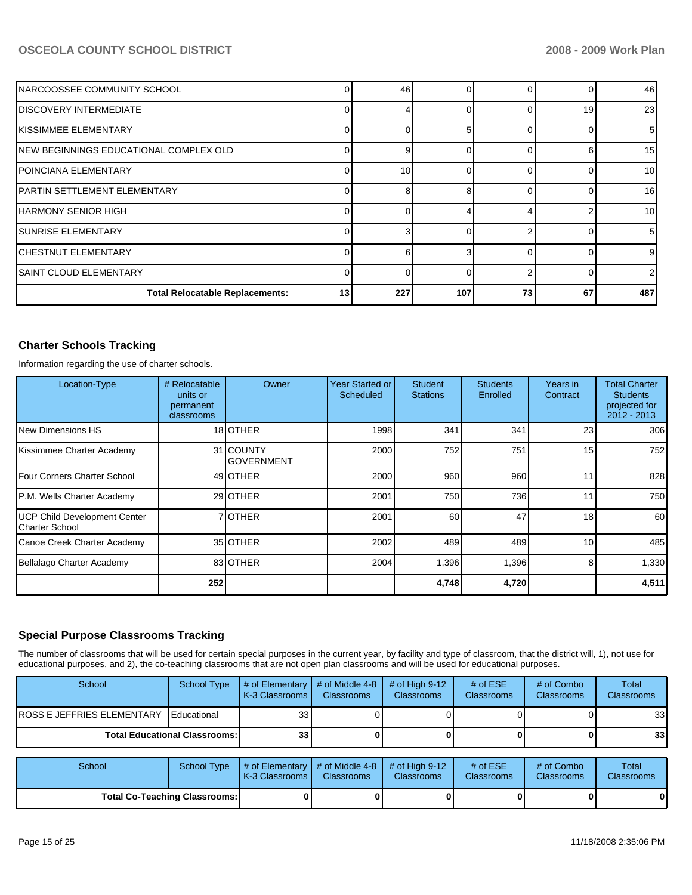| INARCOOSSEE COMMUNITY SCHOOL            |          | 46  |     |              |    | 46  |
|-----------------------------------------|----------|-----|-----|--------------|----|-----|
| IDISCOVERY INTERMEDIATE                 |          |     |     |              | 19 | 23  |
| KISSIMMEE ELEMENTARY                    |          | 0   |     |              |    | 5   |
| INEW BEGINNINGS EDUCATIONAL COMPLEX OLD |          | 9   |     |              |    | 15  |
| POINCIANA ELEMENTARY                    |          | 10  |     |              |    | 10  |
| PARTIN SETTLEMENT ELEMENTARY            |          | 8   |     | <sup>n</sup> |    | 16  |
| IHARMONY SENIOR HIGH                    |          | O   |     |              |    | 10  |
| ISUNRISE ELEMENTARY                     |          | 3   |     |              |    | 5   |
| <b>ICHESTNUT ELEMENTARY</b>             |          | 6   |     | $\Omega$     |    | 9   |
| ISAINT CLOUD ELEMENTARY                 | $\Omega$ | 0   |     |              |    | 2   |
| <b>Total Relocatable Replacements:</b>  | 13       | 227 | 107 | 73           | 67 | 487 |

# **Charter Schools Tracking**

Information regarding the use of charter schools.

| Location-Type                                  | # Relocatable<br>units or<br>permanent<br>classrooms | Owner                          | <b>Year Started or</b><br>Scheduled | <b>Student</b><br><b>Stations</b> | <b>Students</b><br>Enrolled | Years in<br>Contract | <b>Total Charter</b><br><b>Students</b><br>projected for<br>2012 - 2013 |
|------------------------------------------------|------------------------------------------------------|--------------------------------|-------------------------------------|-----------------------------------|-----------------------------|----------------------|-------------------------------------------------------------------------|
| l New Dimensions HS                            |                                                      | 18 OTHER                       | 1998                                | 341                               | 341                         | 23                   | 306                                                                     |
| Kissimmee Charter Academy                      |                                                      | 31 COUNTY<br><b>GOVERNMENT</b> | 2000                                | 752                               | 751                         | 15                   | 752                                                                     |
| Four Corners Charter School                    |                                                      | 49 OTHER                       | 2000                                | 960                               | 960                         | 11                   | 828                                                                     |
| P.M. Wells Charter Academy                     |                                                      | 29 OTHER                       | 2001                                | 750                               | 736                         | 11                   | 750                                                                     |
| UCP Child Development Center<br>Charter School |                                                      | 7 <b>JOTHER</b>                | 2001                                | 60                                | 47                          | 18                   | 60                                                                      |
| Canoe Creek Charter Academy                    |                                                      | 35 <b>OTHER</b>                | 2002                                | 489                               | 489                         | 10                   | 485                                                                     |
| Bellalago Charter Academy                      |                                                      | 83 OTHER                       | 2004                                | 1.396                             | 1,396                       | 8                    | 1,330                                                                   |
|                                                | 252                                                  |                                |                                     | 4,748                             | 4,720                       |                      | 4,511                                                                   |

### **Special Purpose Classrooms Tracking**

The number of classrooms that will be used for certain special purposes in the current year, by facility and type of classroom, that the district will, 1), not use for educational purposes, and 2), the co-teaching classrooms that are not open plan classrooms and will be used for educational purposes.

| School                            | School Type                          | $\parallel$ # of Elementary $\parallel$ # of Middle 4-8 $\parallel$<br><b>I K-3 Classrooms L</b> | <b>Classrooms</b> | $\#$ of High 9-12<br><b>Classrooms</b> | # of $ESE$<br>Classrooms | # of Combo<br><b>Classrooms</b> | Total<br><b>Classrooms</b> |
|-----------------------------------|--------------------------------------|--------------------------------------------------------------------------------------------------|-------------------|----------------------------------------|--------------------------|---------------------------------|----------------------------|
| <b>ROSS E JEFFRIES ELEMENTARY</b> | Educational                          | 33                                                                                               |                   |                                        |                          |                                 | 33                         |
|                                   | <b>Total Educational Classrooms:</b> | 33 <sub>1</sub>                                                                                  |                   |                                        |                          |                                 | 33                         |

| School | School Type                          | $\parallel$ # of Elementary $\parallel$ # of Middle 4-8 $\parallel$ # of High 9-12<br><b>IK-3 Classrooms I</b> | <b>Classrooms</b> | <b>Classrooms</b> | $#$ of ESE<br><b>Classrooms</b> | # of Combo<br><b>Classrooms</b> | Total<br><b>Classrooms</b> |
|--------|--------------------------------------|----------------------------------------------------------------------------------------------------------------|-------------------|-------------------|---------------------------------|---------------------------------|----------------------------|
|        | <b>Total Co-Teaching Classrooms:</b> |                                                                                                                |                   |                   |                                 | 01                              | 0                          |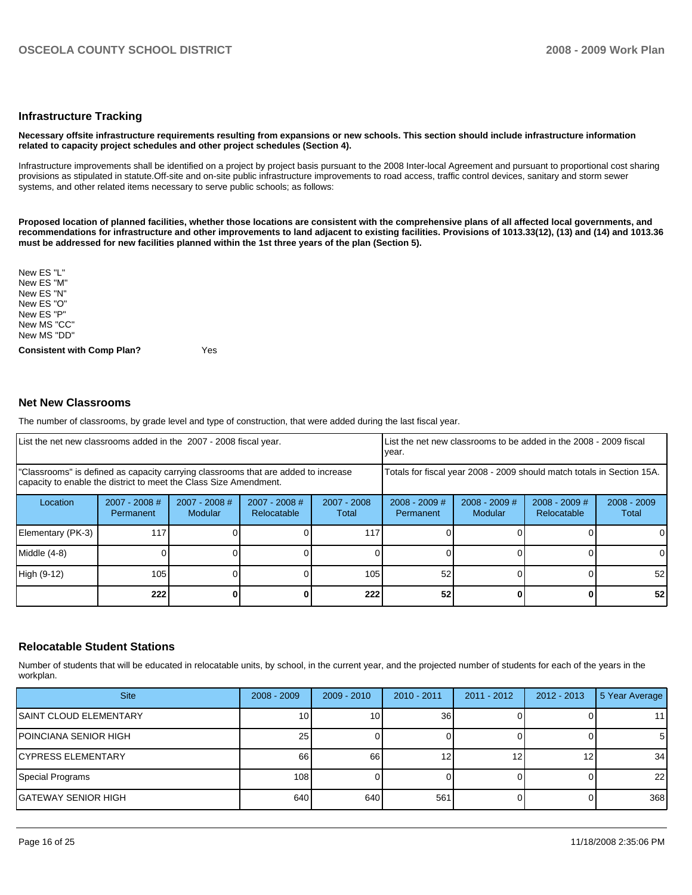#### **Infrastructure Tracking**

#### **Necessary offsite infrastructure requirements resulting from expansions or new schools. This section should include infrastructure information related to capacity project schedules and other project schedules (Section 4).**

Infrastructure improvements shall be identified on a project by project basis pursuant to the 2008 Inter-local Agreement and pursuant to proportional cost sharing provisions as stipulated in statute.Off-site and on-site public infrastructure improvements to road access, traffic control devices, sanitary and storm sewer systems, and other related items necessary to serve public schools; as follows:

**Proposed location of planned facilities, whether those locations are consistent with the comprehensive plans of all affected local governments, and recommendations for infrastructure and other improvements to land adjacent to existing facilities. Provisions of 1013.33(12), (13) and (14) and 1013.36 must be addressed for new facilities planned within the 1st three years of the plan (Section 5).** 

New ES "L" New ES "M"�� New ES "N"�� New ES "O" New ES "P" New MS "CC" New MS "DD"

**Consistent with Comp Plan?** Yes

#### **Net New Classrooms**

The number of classrooms, by grade level and type of construction, that were added during the last fiscal year.

| List the net new classrooms added in the 2007 - 2008 fiscal year.                                                                                       |                              |                          | year.                          |                      | List the net new classrooms to be added in the 2008 - 2009 fiscal      |                            |                                |                        |
|---------------------------------------------------------------------------------------------------------------------------------------------------------|------------------------------|--------------------------|--------------------------------|----------------------|------------------------------------------------------------------------|----------------------------|--------------------------------|------------------------|
| "Classrooms" is defined as capacity carrying classrooms that are added to increase<br>capacity to enable the district to meet the Class Size Amendment. |                              |                          |                                |                      | Totals for fiscal year 2008 - 2009 should match totals in Section 15A. |                            |                                |                        |
| Location                                                                                                                                                | $2007 - 2008$ #<br>Permanent | 2007 - 2008 #<br>Modular | $2007 - 2008$ #<br>Relocatable | 2007 - 2008<br>Total | $2008 - 2009$ #<br><b>Permanent</b>                                    | $2008 - 2009$ #<br>Modular | $2008 - 2009$ #<br>Relocatable | $2008 - 2009$<br>Total |
| Elementary (PK-3)                                                                                                                                       | 117                          |                          |                                | 117                  |                                                                        |                            |                                |                        |
| Middle (4-8)                                                                                                                                            |                              |                          |                                |                      |                                                                        |                            |                                |                        |
| High (9-12)                                                                                                                                             | 105                          |                          |                                | 105                  | 52                                                                     |                            |                                | 52                     |
|                                                                                                                                                         | 222                          |                          |                                | 222                  | 52                                                                     |                            |                                | 52 <sub>1</sub>        |

#### **Relocatable Student Stations**

Number of students that will be educated in relocatable units, by school, in the current year, and the projected number of students for each of the years in the workplan.

| <b>Site</b>                  | $2008 - 2009$ | $2009 - 2010$ | $2010 - 2011$ | $2011 - 2012$ | 2012 - 2013 | 5 Year Average  |
|------------------------------|---------------|---------------|---------------|---------------|-------------|-----------------|
| ISAINT CLOUD ELEMENTARY      | 10 I          | 10            | 36            |               |             | 11 <sub>1</sub> |
| POINCIANA SENIOR HIGH        | 25            |               |               |               |             | 5               |
| <b>CYPRESS ELEMENTARY</b>    | 66            | 66            | 12            |               | 12          | 34              |
| Special Programs             | 108           |               |               |               |             | 22              |
| <b>I</b> GATEWAY SENIOR HIGH | 640           | 640           | 561           |               |             | 368             |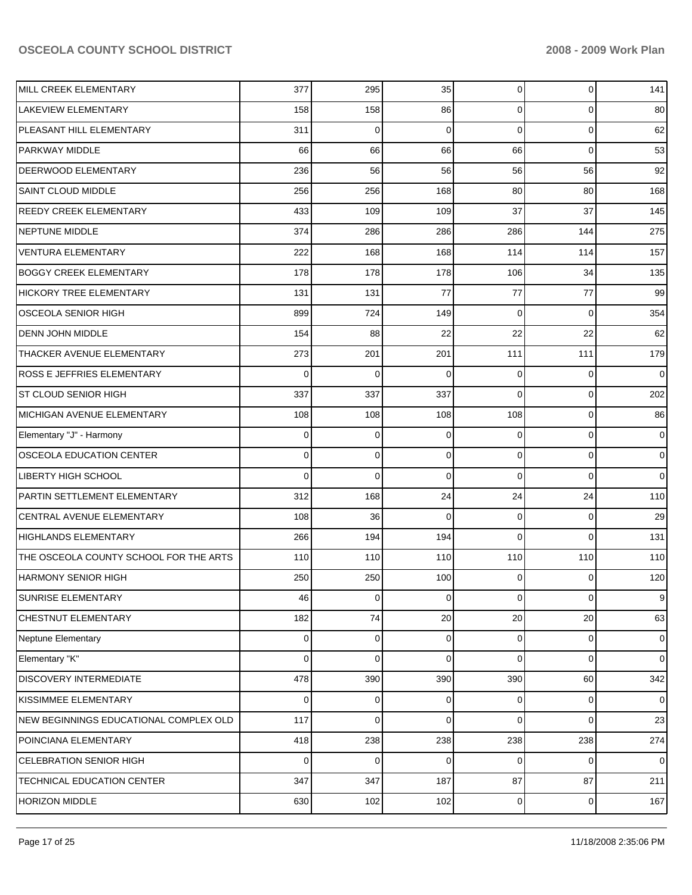| MILL CREEK ELEMENTARY                  | 377      | 295         | 35       | $\overline{0}$ | 0           | 141            |
|----------------------------------------|----------|-------------|----------|----------------|-------------|----------------|
| <b>LAKEVIEW ELEMENTARY</b>             | 158      | 158         | 86       | 0              | 0           | 80             |
| PLEASANT HILL ELEMENTARY               | 311      | 0           | 0        | 0              | $\mathbf 0$ | 62             |
| <b>PARKWAY MIDDLE</b>                  | 66       | 66          | 66       | 66             | 0           | 53             |
| <b>DEERWOOD ELEMENTARY</b>             | 236      | 56          | 56       | 56             | 56          | 92             |
| <b>SAINT CLOUD MIDDLE</b>              | 256      | 256         | 168      | 80             | 80          | 168            |
| <b>REEDY CREEK ELEMENTARY</b>          | 433      | 109         | 109      | 37             | 37          | 145            |
| <b>NEPTUNE MIDDLE</b>                  | 374      | 286         | 286      | 286            | 144         | 275            |
| <b>VENTURA ELEMENTARY</b>              | 222      | 168         | 168      | 114            | 114         | 157            |
| <b>BOGGY CREEK ELEMENTARY</b>          | 178      | 178         | 178      | 106            | 34          | 135            |
| <b>HICKORY TREE ELEMENTARY</b>         | 131      | 131         | 77       | 77             | 77          | 99             |
| <b>OSCEOLA SENIOR HIGH</b>             | 899      | 724         | 149      | 0              | 0           | 354            |
| <b>DENN JOHN MIDDLE</b>                | 154      | 88          | 22       | 22             | 22          | 62             |
| THACKER AVENUE ELEMENTARY              | 273      | 201         | 201      | 111            | 111         | 179            |
| <b>ROSS E JEFFRIES ELEMENTARY</b>      | 0        | 0           | 0        | 0              | 0           | 0              |
| <b>ST CLOUD SENIOR HIGH</b>            | 337      | 337         | 337      | 0              | 0           | 202            |
| MICHIGAN AVENUE ELEMENTARY             | 108      | 108         | 108      | 108            | $\mathbf 0$ | 86             |
| Elementary "J" - Harmony               | 0        | 0           | 0        | 0              | $\mathbf 0$ | 0              |
| OSCEOLA EDUCATION CENTER               | 0        | $\mathbf 0$ | 0        | 0              | 0           | 0              |
| <b>LIBERTY HIGH SCHOOL</b>             | $\Omega$ | 0           | $\Omega$ | 0              | 0           | $\mathbf 0$    |
| PARTIN SETTLEMENT ELEMENTARY           | 312      | 168         | 24       | 24             | 24          | 110            |
| CENTRAL AVENUE ELEMENTARY              | 108      | 36          | $\Omega$ | 0              | 0           | 29             |
| <b>HIGHLANDS ELEMENTARY</b>            | 266      | 194         | 194      | 0              | $\Omega$    | 131            |
| THE OSCEOLA COUNTY SCHOOL FOR THE ARTS | 110      | 110         | 110      | 110            | 110         | 110            |
| <b>HARMONY SENIOR HIGH</b>             | 250      | 250         | 100      | 0              | $\Omega$    | 120            |
| <b>SUNRISE ELEMENTARY</b>              | 46       | 0           | 0        | $\overline{0}$ | $\mathbf 0$ | 9              |
| CHESTNUT ELEMENTARY                    | 182      | 74          | 20       | 20             | 20          | 63             |
| Neptune Elementary                     | 0        | 0           | 0        | 0              | 0           | $\overline{0}$ |
| Elementary "K"                         | 0        | 0           | 0        | 0              | 0           | $\overline{0}$ |
| DISCOVERY INTERMEDIATE                 | 478      | 390         | 390      | 390            | 60          | 342            |
| KISSIMMEE ELEMENTARY                   | 0        | 0           | 0        | 0              | 0           | $\overline{0}$ |
| NEW BEGINNINGS EDUCATIONAL COMPLEX OLD | 117      | 0           | $\Omega$ | 0              | 0           | 23             |
| POINCIANA ELEMENTARY                   | 418      | 238         | 238      | 238            | 238         | 274            |
| CELEBRATION SENIOR HIGH                | 0        | 0           | 0        | 0              | 0           | $\overline{0}$ |
| TECHNICAL EDUCATION CENTER             | 347      | 347         | 187      | 87             | 87          | 211            |
| HORIZON MIDDLE                         | 630      | 102         | 102      | $\overline{0}$ | 0           | 167            |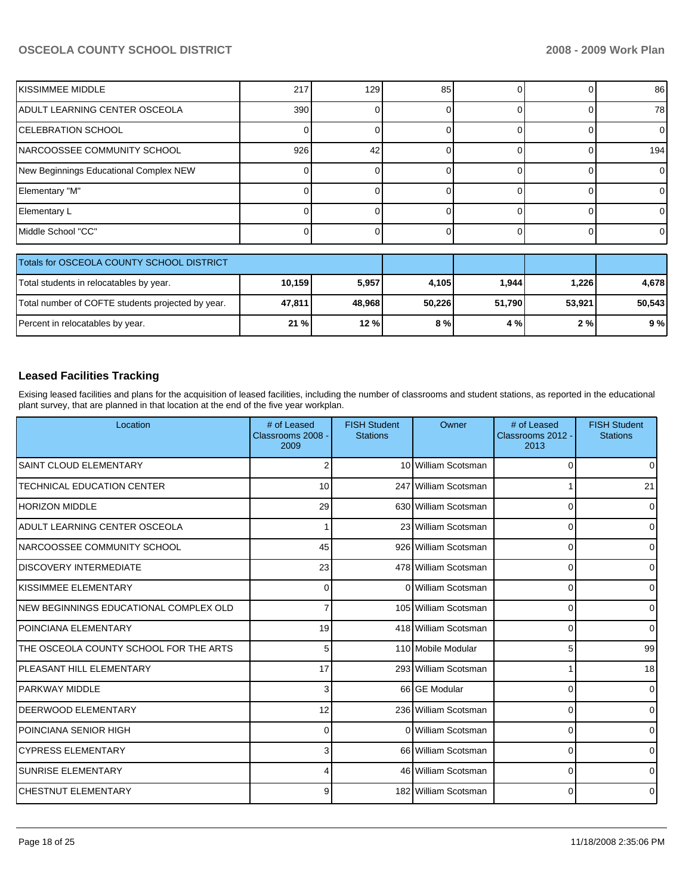| IKISSIMMEE MIDDLE                      | 217 | 129 | 85 |  | 86  |
|----------------------------------------|-----|-----|----|--|-----|
| ADULT LEARNING CENTER OSCEOLA          | 390 |     |    |  | 781 |
| <b>CELEBRATION SCHOOL</b>              |     |     |    |  |     |
| <b>INARCOOSSEE COMMUNITY SCHOOL</b>    | 926 | 42  |    |  | 194 |
| New Beginnings Educational Complex NEW |     |     |    |  |     |
| Elementary "M"                         |     |     |    |  |     |
| Elementary L                           |     |     |    |  |     |
| Middle School "CC"                     |     |     |    |  |     |

| Totals for OSCEOLA COUNTY SCHOOL DISTRICT         |        |        |        |        |        |        |
|---------------------------------------------------|--------|--------|--------|--------|--------|--------|
| Total students in relocatables by year.           | 10,159 | 5,957  | 4.105  | 1,944  | 1,226  | 4.678  |
| Total number of COFTE students projected by year. | 47.811 | 48.968 | 50.226 | 51.790 | 53.921 | 50.543 |
| Percent in relocatables by year.                  | 21%    | 12%    | 8%     | 4 % l  | 2%     | 9%     |

# **Leased Facilities Tracking**

Exising leased facilities and plans for the acquisition of leased facilities, including the number of classrooms and student stations, as reported in the educational plant survey, that are planned in that location at the end of the five year workplan.

| Location                               | # of Leased<br>Classrooms 2008 -<br>2009 | <b>FISH Student</b><br><b>Stations</b> | Owner                | # of Leased<br>Classrooms 2012 -<br>2013 | <b>FISH Student</b><br><b>Stations</b> |
|----------------------------------------|------------------------------------------|----------------------------------------|----------------------|------------------------------------------|----------------------------------------|
| <b>SAINT CLOUD ELEMENTARY</b>          | 2                                        |                                        | 10 William Scotsman  | $\Omega$                                 | $\Omega$                               |
| <b>TECHNICAL EDUCATION CENTER</b>      | 10                                       |                                        | 247 William Scotsman |                                          | 21                                     |
| HORIZON MIDDLE                         | 29                                       |                                        | 630 William Scotsman | $\Omega$                                 | $\Omega$                               |
| ADULT LEARNING CENTER OSCEOLA          |                                          |                                        | 23 William Scotsman  | $\Omega$                                 | $\Omega$                               |
| NARCOOSSEE COMMUNITY SCHOOL            | 45                                       |                                        | 926 William Scotsman | $\Omega$                                 | $\Omega$                               |
| <b>DISCOVERY INTERMEDIATE</b>          | 23                                       |                                        | 478 William Scotsman | 0                                        | $\Omega$                               |
| KISSIMMEE ELEMENTARY                   | $\Omega$                                 |                                        | 0 William Scotsman   | 0                                        | $\Omega$                               |
| NEW BEGINNINGS EDUCATIONAL COMPLEX OLD |                                          |                                        | 105 William Scotsman | 0                                        | $\Omega$                               |
| IPOINCIANA ELEMENTARY                  | 19                                       |                                        | 418 William Scotsman | 0                                        | $\Omega$                               |
| THE OSCEOLA COUNTY SCHOOL FOR THE ARTS | 5                                        |                                        | 110 Mobile Modular   | 5                                        | 99                                     |
| PLEASANT HILL ELEMENTARY               | 17                                       |                                        | 293 William Scotsman | 1                                        | 18                                     |
| <b>PARKWAY MIDDLE</b>                  | 3                                        |                                        | 66 GE Modular        | 0                                        | $\Omega$                               |
| DEERWOOD ELEMENTARY                    | 12                                       |                                        | 236 William Scotsman | 0                                        | $\Omega$                               |
| POINCIANA SENIOR HIGH                  | $\Omega$                                 |                                        | 0 William Scotsman   | $\Omega$                                 | $\Omega$                               |
| ICYPRESS ELEMENTARY                    | 3                                        |                                        | 66 William Scotsman  | 0                                        | 0                                      |
| <b>SUNRISE ELEMENTARY</b>              | Δ                                        |                                        | 46 William Scotsman  | $\Omega$                                 | $\Omega$                               |
| ICHESTNUT ELEMENTARY                   | 9                                        |                                        | 182 William Scotsman | 0                                        | $\Omega$                               |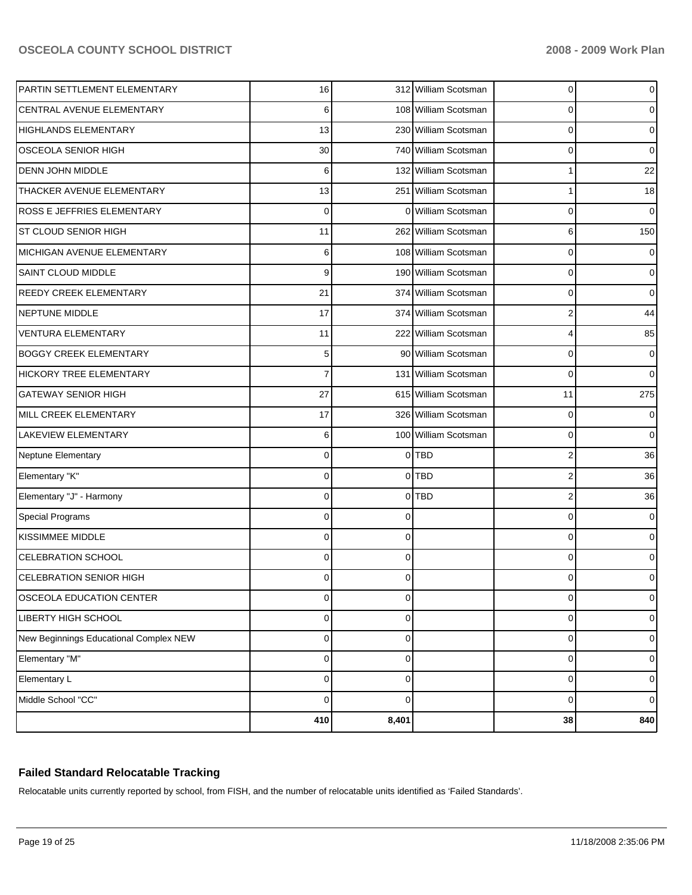| PARTIN SETTLEMENT ELEMENTARY           | 16             |          | 312 William Scotsman | 0  | 0           |
|----------------------------------------|----------------|----------|----------------------|----|-------------|
| CENTRAL AVENUE ELEMENTARY              | 6              |          | 108 William Scotsman | 0  | 0           |
| <b>HIGHLANDS ELEMENTARY</b>            | 13             |          | 230 William Scotsman | 0  | 0           |
| OSCEOLA SENIOR HIGH                    | 30             |          | 740 William Scotsman | 0  | 0           |
| DENN JOHN MIDDLE                       | 6              |          | 132 William Scotsman | 1  | 22          |
| THACKER AVENUE ELEMENTARY              | 13             |          | 251 William Scotsman | 1  | 18          |
| ROSS E JEFFRIES ELEMENTARY             | $\mathbf 0$    | $\Omega$ | William Scotsman     | 0  | $\Omega$    |
| ST CLOUD SENIOR HIGH                   | 11             |          | 262 William Scotsman | 6  | 150         |
| MICHIGAN AVENUE ELEMENTARY             | 6              |          | 108 William Scotsman | 0  | 0           |
| SAINT CLOUD MIDDLE                     | 9              |          | 190 William Scotsman | 0  | 0           |
| REEDY CREEK ELEMENTARY                 | 21             |          | 374 William Scotsman | 0  | $\Omega$    |
| NEPTUNE MIDDLE                         | 17             |          | 374 William Scotsman | 2  | 44          |
| <b>VENTURA ELEMENTARY</b>              | 11             |          | 222 William Scotsman | 4  | 85          |
| <b>BOGGY CREEK ELEMENTARY</b>          | 5              |          | 90 William Scotsman  | 0  | 0           |
| <b>HICKORY TREE ELEMENTARY</b>         | $\overline{7}$ |          | 131 William Scotsman | 0  | $\Omega$    |
| <b>GATEWAY SENIOR HIGH</b>             | 27             |          | 615 William Scotsman | 11 | 275         |
| MILL CREEK ELEMENTARY                  | 17             |          | 326 William Scotsman | 0  | 0           |
| LAKEVIEW ELEMENTARY                    | 6              |          | 100 William Scotsman | 0  | $\mathbf 0$ |
| Neptune Elementary                     | $\mathbf 0$    | $\Omega$ | <b>TBD</b>           | 2  | 36          |
| Elementary "K"                         | $\mathbf 0$    |          | $0$ TBD              | 2  | 36          |
| Elementary "J" - Harmony               | $\mathbf 0$    | $\Omega$ | <b>TBD</b>           | 2  | 36          |
| <b>Special Programs</b>                | $\mathbf 0$    | $\Omega$ |                      | 0  | 0           |
| KISSIMMEE MIDDLE                       | $\Omega$       | $\Omega$ |                      | 0  | 0           |
| CELEBRATION SCHOOL                     | $\Omega$       | $\Omega$ |                      | 0  | 0           |
| <b>CELEBRATION SENIOR HIGH</b>         | $\Omega$       |          |                      | 0  | 0           |
| OSCEOLA EDUCATION CENTER               | 0              | 0        |                      | 0  | 0           |
| LIBERTY HIGH SCHOOL                    | 0              | 0        |                      | 0  | 0           |
| New Beginnings Educational Complex NEW | $\mathbf 0$    | $\Omega$ |                      | 0  | 0           |
| Elementary "M"                         | $\mathbf 0$    | $\Omega$ |                      | 0  | 0           |
| Elementary L                           | $\mathbf 0$    | $\Omega$ |                      | 0  | 0           |
| Middle School "CC"                     | $\mathbf 0$    | $\Omega$ |                      | 0  | 0           |
|                                        | 410            | 8,401    |                      | 38 | 840         |

# **Failed Standard Relocatable Tracking**

Relocatable units currently reported by school, from FISH, and the number of relocatable units identified as 'Failed Standards'.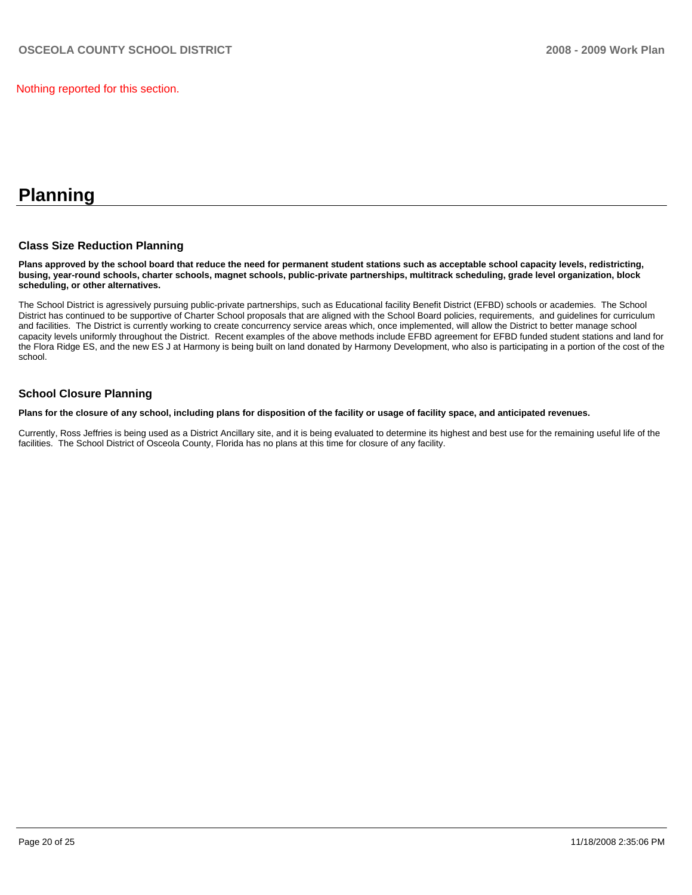Nothing reported for this section.

# **Planning**

### **Class Size Reduction Planning**

**Plans approved by the school board that reduce the need for permanent student stations such as acceptable school capacity levels, redistricting, busing, year-round schools, charter schools, magnet schools, public-private partnerships, multitrack scheduling, grade level organization, block scheduling, or other alternatives.** 

The School District is agressively pursuing public-private partnerships, such as Educational facility Benefit District (EFBD) schools or academies. The School District has continued to be supportive of Charter School proposals that are aligned with the School Board policies, requirements, and guidelines for curriculum and facilities. The District is currently working to create concurrency service areas which, once implemented, will allow the District to better manage school capacity levels uniformly throughout the District. Recent examples of the above methods include EFBD agreement for EFBD funded student stations and land for the Flora Ridge ES, and the new ES J at Harmony is being built on land donated by Harmony Development, who also is participating in a portion of the cost of the school.

#### **School Closure Planning**

**Plans for the closure of any school, including plans for disposition of the facility or usage of facility space, and anticipated revenues.** 

Currently, Ross Jeffries is being used as a District Ancillary site, and it is being evaluated to determine its highest and best use for the remaining useful life of the facilities. The School District of Osceola County, Florida has no plans at this time for closure of any facility.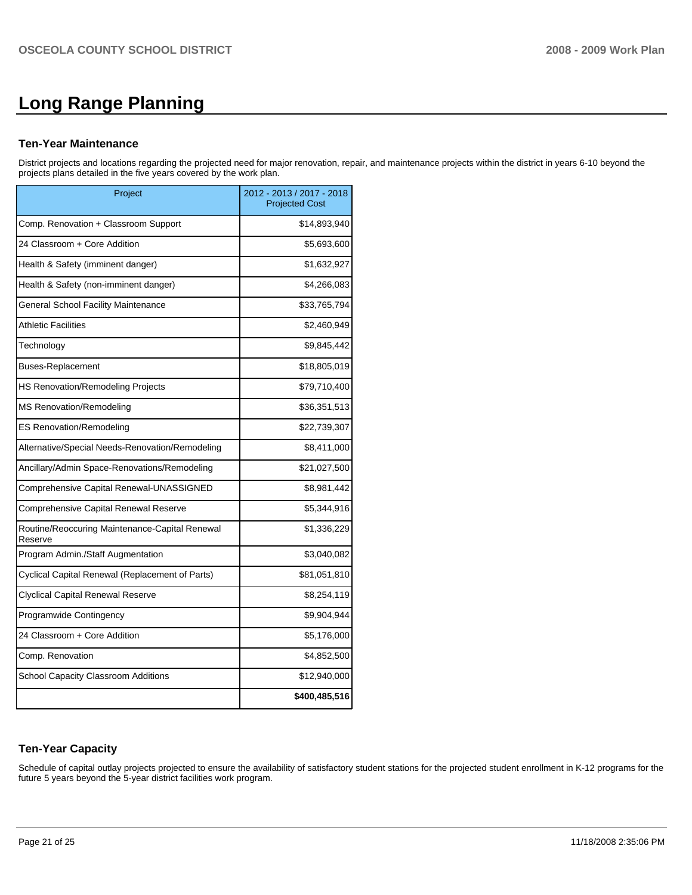# **Long Range Planning**

#### **Ten-Year Maintenance**

District projects and locations regarding the projected need for major renovation, repair, and maintenance projects within the district in years 6-10 beyond the projects plans detailed in the five years covered by the work plan.

| Project                                                   | 2012 - 2013 / 2017 - 2018<br><b>Projected Cost</b> |
|-----------------------------------------------------------|----------------------------------------------------|
| Comp. Renovation + Classroom Support                      | \$14,893,940                                       |
| 24 Classroom + Core Addition                              | \$5,693,600                                        |
| Health & Safety (imminent danger)                         | \$1,632,927                                        |
| Health & Safety (non-imminent danger)                     | \$4,266,083                                        |
| General School Facility Maintenance                       | \$33,765,794                                       |
| <b>Athletic Facilities</b>                                | \$2,460,949                                        |
| Technology                                                | \$9,845,442                                        |
| <b>Buses-Replacement</b>                                  | \$18,805,019                                       |
| HS Renovation/Remodeling Projects                         | \$79,710,400                                       |
| <b>MS Renovation/Remodeling</b>                           | \$36,351,513                                       |
| <b>ES Renovation/Remodeling</b>                           | \$22,739,307                                       |
| Alternative/Special Needs-Renovation/Remodeling           | \$8,411,000                                        |
| Ancillary/Admin Space-Renovations/Remodeling              | \$21,027,500                                       |
| Comprehensive Capital Renewal-UNASSIGNED                  | \$8,981,442                                        |
| Comprehensive Capital Renewal Reserve                     | \$5,344,916                                        |
| Routine/Reoccuring Maintenance-Capital Renewal<br>Reserve | \$1,336,229                                        |
| Program Admin./Staff Augmentation                         | \$3,040,082                                        |
| Cyclical Capital Renewal (Replacement of Parts)           | \$81,051,810                                       |
| <b>Clyclical Capital Renewal Reserve</b>                  | \$8,254,119                                        |
| Programwide Contingency                                   | \$9,904,944                                        |
| 24 Classroom + Core Addition                              | \$5,176,000                                        |
| Comp. Renovation                                          | \$4,852,500                                        |
| School Capacity Classroom Additions                       | \$12,940,000                                       |
|                                                           | \$400,485,516                                      |

# **Ten-Year Capacity**

Schedule of capital outlay projects projected to ensure the availability of satisfactory student stations for the projected student enrollment in K-12 programs for the future 5 years beyond the 5-year district facilities work program.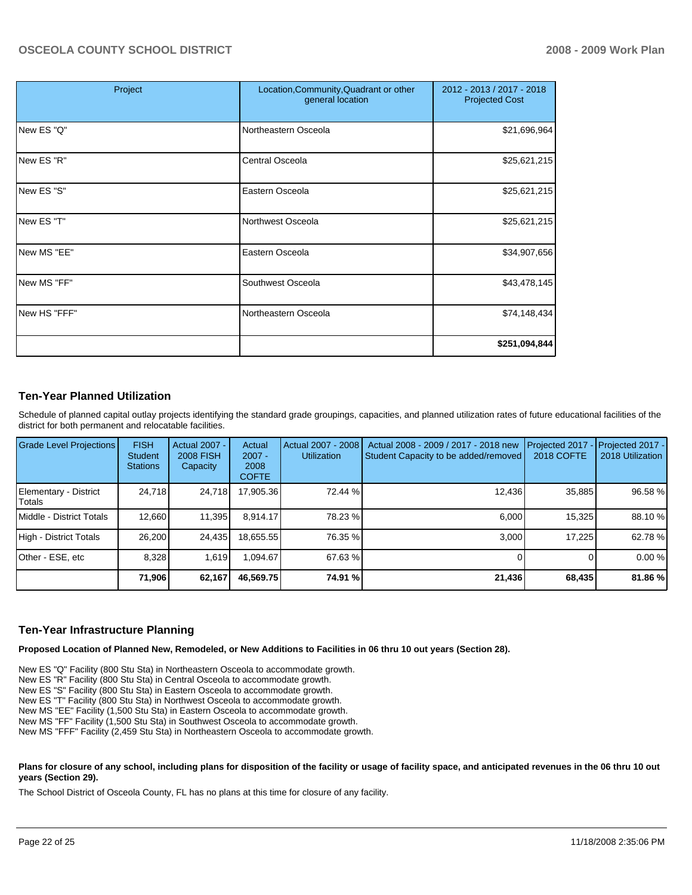| Project      | Location, Community, Quadrant or other<br>general location | 2012 - 2013 / 2017 - 2018<br><b>Projected Cost</b> |
|--------------|------------------------------------------------------------|----------------------------------------------------|
| New ES "Q"   | Northeastern Osceola                                       | \$21,696,964                                       |
| New ES "R"   | Central Osceola                                            | \$25,621,215                                       |
| New ES "S"   | Eastern Osceola                                            | \$25,621,215                                       |
| New ES "T"   | Northwest Osceola                                          | \$25,621,215                                       |
| New MS "EE"  | Eastern Osceola                                            | \$34,907,656                                       |
| New MS "FF"  | Southwest Osceola                                          | \$43,478,145                                       |
| New HS "FFF" | Northeastern Osceola                                       | \$74,148,434                                       |
|              |                                                            | \$251,094,844                                      |

### **Ten-Year Planned Utilization**

Schedule of planned capital outlay projects identifying the standard grade groupings, capacities, and planned utilization rates of future educational facilities of the district for both permanent and relocatable facilities.

| Grade Level Projections         | <b>FISH</b><br>Student<br><b>Stations</b> | Actual 2007 -<br><b>2008 FISH</b><br>Capacity | Actual<br>$2007 -$<br>2008<br><b>COFTE</b> | Actual 2007 - 2008<br><b>Utilization</b> | Actual 2008 - 2009 / 2017 - 2018 new<br>Student Capacity to be added/removed | Projected 2017<br><b>2018 COFTE</b> | Projected 2017 -<br>2018 Utilization |
|---------------------------------|-------------------------------------------|-----------------------------------------------|--------------------------------------------|------------------------------------------|------------------------------------------------------------------------------|-------------------------------------|--------------------------------------|
| Elementary - District<br>Totals | 24.718                                    | 24,718                                        | 17,905.36                                  | 72.44 %                                  | 12,436                                                                       | 35,885                              | 96.58 %                              |
| Middle - District Totals        | 12,660                                    | 11,395                                        | 8.914.17                                   | 78.23 %                                  | 6,000                                                                        | 15,325                              | 88.10 %                              |
| High - District Totals          | 26,200                                    | 24,435                                        | 18,655.55                                  | 76.35 %                                  | 3.000                                                                        | 17,225                              | 62.78 %                              |
| Other - ESE, etc                | 8,328                                     | 1.619                                         | .094.67                                    | 67.63 %                                  |                                                                              |                                     | 0.00%                                |
|                                 | 71,906                                    | 62,167                                        | 46,569.75                                  | 74.91 %                                  | 21,436                                                                       | 68,435                              | 81.86 %                              |

# **Ten-Year Infrastructure Planning**

**Proposed Location of Planned New, Remodeled, or New Additions to Facilities in 06 thru 10 out years (Section 28).** 

New ES "Q" Facility (800 Stu Sta) in Northeastern Osceola to accommodate growth.

New ES "R" Facility (800 Stu Sta) in Central Osceola to accommodate growth.

New ES "S" Facility (800 Stu Sta) in Eastern Osceola to accommodate growth.

New ES "T" Facility (800 Stu Sta) in Northwest Osceola to accommodate growth.

New MS "EE" Facility (1,500 Stu Sta) in Eastern Osceola to accommodate growth.

New MS "FF" Facility (1,500 Stu Sta) in Southwest Osceola to accommodate growth.

New MS "FFF" Facility (2,459 Stu Sta) in Northeastern Osceola to accommodate growth.

#### Plans for closure of any school, including plans for disposition of the facility or usage of facility space, and anticipated revenues in the 06 thru 10 out **years (Section 29).**

The School District of Osceola County, FL has no plans at this time for closure of any facility.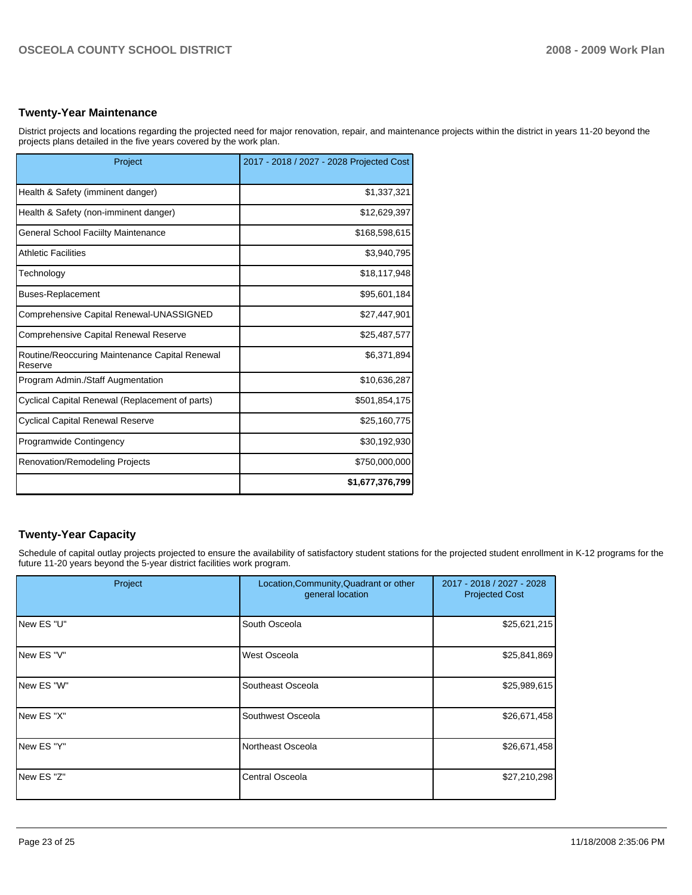### **Twenty-Year Maintenance**

District projects and locations regarding the projected need for major renovation, repair, and maintenance projects within the district in years 11-20 beyond the projects plans detailed in the five years covered by the work plan.

| Project                                                   | 2017 - 2018 / 2027 - 2028 Projected Cost |
|-----------------------------------------------------------|------------------------------------------|
| Health & Safety (imminent danger)                         | \$1,337,321                              |
| Health & Safety (non-imminent danger)                     | \$12,629,397                             |
| General School Faciilty Maintenance                       | \$168,598,615                            |
| <b>Athletic Facilities</b>                                | \$3,940,795                              |
| Technology                                                | \$18,117,948                             |
| <b>Buses-Replacement</b>                                  | \$95,601,184                             |
| Comprehensive Capital Renewal-UNASSIGNED                  | \$27,447,901                             |
| Comprehensive Capital Renewal Reserve                     | \$25,487,577                             |
| Routine/Reoccuring Maintenance Capital Renewal<br>Reserve | \$6,371,894                              |
| Program Admin./Staff Augmentation                         | \$10,636,287                             |
| Cyclical Capital Renewal (Replacement of parts)           | \$501,854,175                            |
| <b>Cyclical Capital Renewal Reserve</b>                   | \$25,160,775                             |
| <b>Programwide Contingency</b>                            | \$30,192,930                             |
| Renovation/Remodeling Projects                            | \$750,000,000                            |
|                                                           | \$1,677,376,799                          |

# **Twenty-Year Capacity**

Schedule of capital outlay projects projected to ensure the availability of satisfactory student stations for the projected student enrollment in K-12 programs for the future 11-20 years beyond the 5-year district facilities work program.

| Project            | Location, Community, Quadrant or other<br>general location | 2017 - 2018 / 2027 - 2028<br><b>Projected Cost</b> |  |
|--------------------|------------------------------------------------------------|----------------------------------------------------|--|
| New ES "U"         | South Osceola                                              | \$25,621,215                                       |  |
| <b>INew ES "V"</b> | West Osceola                                               | \$25,841,869                                       |  |
| New ES "W"         | Southeast Osceola                                          | \$25,989,615                                       |  |
| New ES "X"         | Southwest Osceola                                          | \$26,671,458                                       |  |
| New ES "Y"         | Northeast Osceola                                          | \$26,671,458                                       |  |
| INew ES "Z"        | Central Osceola                                            | \$27,210,298                                       |  |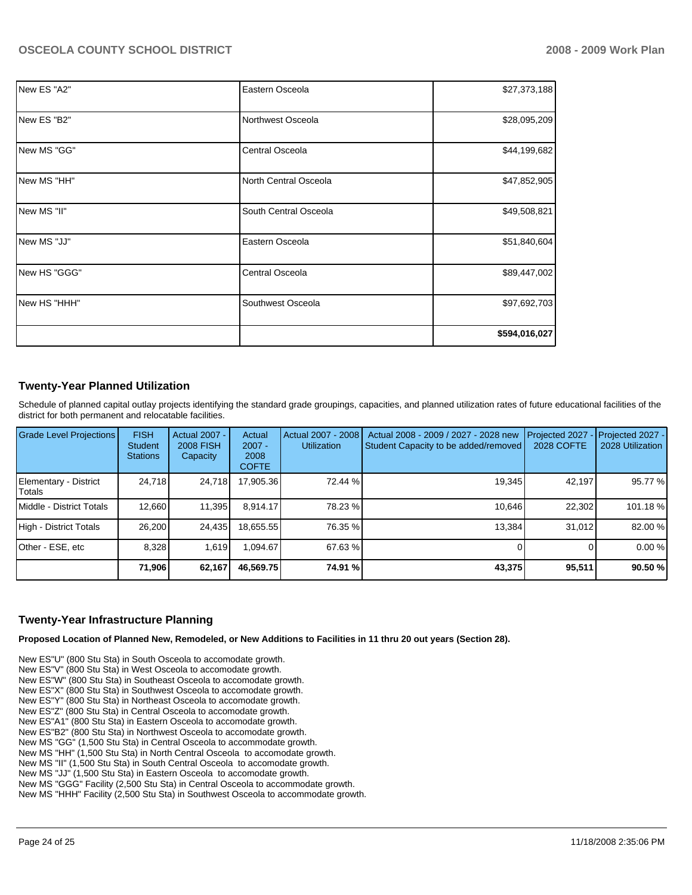| New ES "A2"   | Eastern Osceola       | \$27,373,188  |
|---------------|-----------------------|---------------|
| New ES "B2"   | Northwest Osceola     | \$28,095,209  |
| New MS "GG"   | Central Osceola       | \$44,199,682  |
| INew MS "HH"  | North Central Osceola | \$47,852,905  |
| New MS "II"   | South Central Osceola | \$49,508,821  |
| INew MS "JJ"  | Eastern Osceola       | \$51,840,604  |
| New HS "GGG"  | Central Osceola       | \$89,447,002  |
| INew HS "HHH" | Southwest Osceola     | \$97,692,703  |
|               |                       | \$594,016,027 |

# **Twenty-Year Planned Utilization**

Schedule of planned capital outlay projects identifying the standard grade groupings, capacities, and planned utilization rates of future educational facilities of the district for both permanent and relocatable facilities.

| Grade Level Projections         | <b>FISH</b><br><b>Student</b><br><b>Stations</b> | <b>Actual 2007 -</b><br><b>2008 FISH</b><br>Capacity | Actual<br>$2007 -$<br>2008<br><b>COFTE</b> | Actual 2007 - 2008<br><b>Utilization</b> | Actual 2008 - 2009 / 2027 - 2028 new<br>Student Capacity to be added/removed | Projected 2027<br>2028 COFTE | Projected 2027 -<br>2028 Utilization |
|---------------------------------|--------------------------------------------------|------------------------------------------------------|--------------------------------------------|------------------------------------------|------------------------------------------------------------------------------|------------------------------|--------------------------------------|
| Elementary - District<br>Totals | 24,718                                           | 24,718                                               | 17,905.36                                  | 72.44 %                                  | 19,345                                                                       | 42,197                       | 95.77 %                              |
| Middle - District Totals        | 12.660                                           | 11,395                                               | 8.914.17                                   | 78.23 %                                  | 10.646                                                                       | 22.302                       | 101.18%                              |
| High - District Totals          | 26,200                                           | 24,435                                               | 18.655.55                                  | 76.35 %                                  | 13.384                                                                       | 31.012                       | 82.00 %                              |
| Other - ESE, etc                | 8.328                                            | 1.619                                                | 094.67                                     | 67.63 %                                  |                                                                              |                              | 0.00%                                |
|                                 | 71,906                                           | 62,167                                               | 46,569.75                                  | 74.91 %                                  | 43,375                                                                       | 95,511                       | 90.50 %                              |

#### **Twenty-Year Infrastructure Planning**

**Proposed Location of Planned New, Remodeled, or New Additions to Facilities in 11 thru 20 out years (Section 28).** 

New ES"U" (800 Stu Sta) in South Osceola to accomodate growth. New ES"V" (800 Stu Sta) in West Osceola to accomodate growth. New ES"W" (800 Stu Sta) in Southeast Osceola to accomodate growth. New ES"X" (800 Stu Sta) in Southwest Osceola to accomodate growth. New ES"Y" (800 Stu Sta) in Northeast Osceola to accomodate growth. New ES"Z" (800 Stu Sta) in Central Osceola to accomodate growth. New ES"A1" (800 Stu Sta) in Eastern Osceola to accomodate growth. New ES"B2" (800 Stu Sta) in Northwest Osceola to accomodate growth. New MS "GG" (1,500 Stu Sta) in Central Osceola to accommodate growth. New MS "HH" (1,500 Stu Sta) in North Central Osceola to accomodate growth. New MS "II" (1,500 Stu Sta) in South Central Osceola to accomodate growth. New MS "JJ" (1,500 Stu Sta) in Eastern Osceola to accomodate growth. New MS "GGG" Facility (2,500 Stu Sta) in Central Osceola to accommodate growth. New MS "HHH" Facility (2,500 Stu Sta) in Southwest Osceola to accommodate growth.